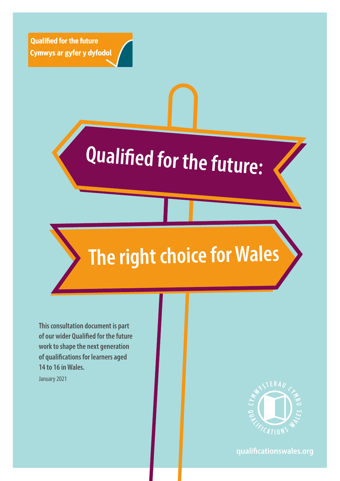**Qualified for the future** Cymwys ar gyfer y dyfodol

# **Qualified for the future:**

## **The right choice for Wales**

**This consultation document is part of our wider Qualified for the future work to shape the next generation of qualifications for learners aged 14 to 16 in Wales.** 

January 2021



**qualificationswales.org**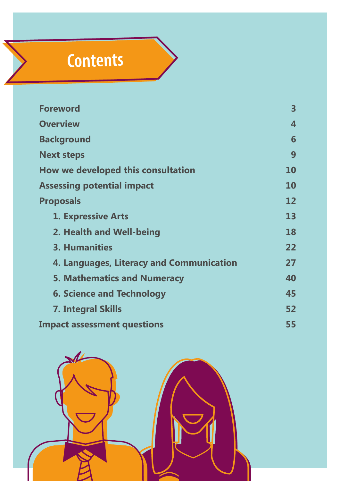## **Contents**

| <b>Foreword</b>                          | 3                 |
|------------------------------------------|-------------------|
| <b>Overview</b>                          | 4                 |
| <b>Background</b>                        | 6                 |
| <b>Next steps</b>                        | 9                 |
| How we developed this consultation       | <b>10</b>         |
| <b>Assessing potential impact</b>        | <b>10</b>         |
| <b>Proposals</b>                         | $12 \overline{ }$ |
| <b>1. Expressive Arts</b>                | 13                |
| 2. Health and Well-being                 | 18                |
| 3. Humanities                            | 22                |
| 4. Languages, Literacy and Communication | 27                |
| <b>5. Mathematics and Numeracy</b>       | 40                |
| <b>6. Science and Technology</b>         | 45                |
| <b>7. Integral Skills</b>                | 52                |
| <b>Impact assessment questions</b>       | 55                |

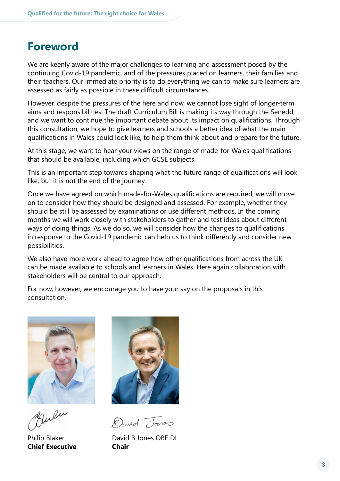### <span id="page-2-0"></span>**Foreword**

We are keenly aware of the major challenges to learning and assessment posed by the continuing Covid-19 pandemic, and of the pressures placed on learners, their families and their teachers. Our immediate priority is to do everything we can to make sure learners are assessed as fairly as possible in these difficult circumstances.

However, despite the pressures of the here and now, we cannot lose sight of longer-term aims and responsibilities. The draft Curriculum Bill is making its way through the Senedd, and we want to continue the important debate about its impact on qualifications. Through this consultation, we hope to give learners and schools a better idea of what the main qualifications in Wales could look like, to help them think about and prepare for the future.

At this stage, we want to hear your views on the range of made-for-Wales qualifications that should be available, including which GCSE subjects.

This is an important step towards shaping what the future range of qualifications will look like, but it is not the end of the journey.

Once we have agreed on which made-for-Wales qualifications are required, we will move on to consider how they should be designed and assessed. For example, whether they should be still be assessed by examinations or use different methods. In the coming months we will work closely with stakeholders to gather and test ideas about different ways of doing things. As we do so, we will consider how the changes to qualifications in response to the Covid-19 pandemic can help us to think differently and consider new possibilities.

We also have more work ahead to agree how other qualifications from across the UK can be made available to schools and learners in Wales. Here again collaboration with stakeholders will be central to our approach.

For now, however, we encourage you to have your say on the proposals in this consultation.



**Chief Executive Chair**



David Tones

Philip Blaker David B Jones OBE DL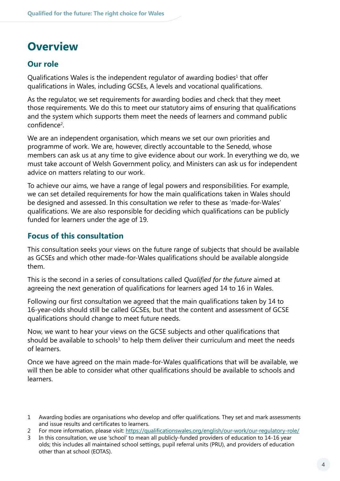### <span id="page-3-0"></span>**Overview**

### **Our role**

Qualifications Wales is the independent regulator of awarding bodies<sup>1</sup> that offer qualifications in Wales, including GCSEs, A levels and vocational qualifications.

As the regulator, we set requirements for awarding bodies and check that they meet those requirements. We do this to meet our statutory aims of ensuring that qualifications and the system which supports them meet the needs of learners and command public confidence<sup>2</sup>.

We are an independent organisation, which means we set our own priorities and programme of work. We are, however, directly accountable to the Senedd, whose members can ask us at any time to give evidence about our work. In everything we do, we must take account of Welsh Government policy, and Ministers can ask us for independent advice on matters relating to our work.

To achieve our aims, we have a range of legal powers and responsibilities. For example, we can set detailed requirements for how the main qualifications taken in Wales should be designed and assessed. In this consultation we refer to these as 'made-for-Wales' qualifications. We are also responsible for deciding which qualifications can be publicly funded for learners under the age of 19.

### **Focus of this consultation**

This consultation seeks your views on the future range of subjects that should be available as GCSEs and which other made-for-Wales qualifications should be available alongside them.

This is the second in a series of consultations called *Qualified for the future* aimed at agreeing the next generation of qualifications for learners aged 14 to 16 in Wales.

Following our first consultation we agreed that the main qualifications taken by 14 to 16-year-olds should still be called GCSEs, but that the content and assessment of GCSE qualifications should change to meet future needs.

Now, we want to hear your views on the GCSE subjects and other qualifications that should be available to schools<sup>3</sup> to help them deliver their curriculum and meet the needs of learners.

Once we have agreed on the main made-for-Wales qualifications that will be available, we will then be able to consider what other qualifications should be available to schools and learners.

2 For more information, please visit: https://qualificationswales.org/[english/our-work/our-regulatory-role/](https://qualificationswales.org/english/our-work/our-regulatory-role/)

3 In this consultation, we use 'school' to mean all publicly-funded providers of education to 14-16 year olds; this includes all maintained school settings, pupil referral units (PRU), and providers of education other than at school (EOTAS).

<sup>1</sup> Awarding bodies are organisations who develop and offer qualifications. They set and mark assessments and issue results and certificates to learners.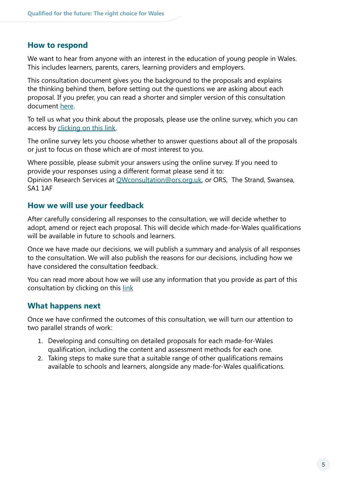#### **How to respond**

We want to hear from anyone with an interest in the education of young people in Wales. This includes learners, parents, carers, learning providers and employers.

This consultation document gives you the background to the proposals and explains the thinking behind them, before setting out the questions we are asking about each proposal. If you prefer, you can read a shorter and simpler version of this consultation document [here.](https://qualificationswales.org/media/7002/qualified-for-the-future-the-right-choice-for-wales-youth-friendly-version-of-the-consultation.pdf)

To tell us what you think about the proposals, please use the online survey, which you can access by [clicking on this link](https://protect-eu.mimecast.com/s/_9JKCMQ5uz3zlQukRGi3?domain=eur03.safelinks.protection.outlook.com).

The online survey lets you choose whether to answer questions about all of the proposals or just to focus on those which are of most interest to you.

Where possible, please submit your answers using the online survey. If you need to provide your responses using a different format please send it to: Opinion Research Services at QWconsultation@ors.org.uk, or ORS, The Strand, Swansea, SA1 1AF

#### **How we will use your feedback**

After carefully considering all responses to the consultation, we will decide whether to adopt, amend or reject each proposal. This will decide which made-for-Wales qualifications will be available in future to schools and learners.

Once we have made our decisions, we will publish a summary and analysis of all responses to the consultation. We will also publish the reasons for our decisions, including how we have considered the consultation feedback.

You can read more about how we will use any information that you provide as part of this consultation by clicking on this [link](https://protect-eu.mimecast.com/s/FheZCW7jtDmEyOSKfM32?domain=qualificationswales.org/)

### **What happens next**

Once we have confirmed the outcomes of this consultation, we will turn our attention to two parallel strands of work:

- 1. Developing and consulting on detailed proposals for each made-for-Wales qualification, including the content and assessment methods for each one.
- 2. Taking steps to make sure that a suitable range of other qualifications remains available to schools and learners, alongside any made-for-Wales qualifications.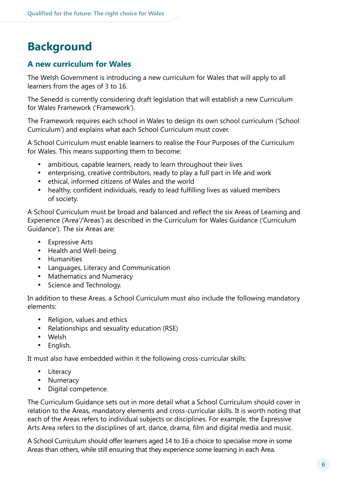### <span id="page-5-0"></span>**Background**

### **A new curriculum for Wales**

The Welsh Government is introducing a new curriculum for Wales that will apply to all learners from the ages of 3 to 16.

The Senedd is currently considering draft legislation that will establish a new Curriculum for Wales Framework ('Framework').

The Framework requires each school in Wales to design its own school curriculum ('School Curriculum') and explains what each School Curriculum must cover.

A School Curriculum must enable learners to realise the Four Purposes of the Curriculum for Wales. This means supporting them to become:

- ambitious, capable learners, ready to learn throughout their lives
- enterprising, creative contributors, ready to play a full part in life and work
- ethical, informed citizens of Wales and the world
- healthy, confident individuals, ready to lead fulfilling lives as valued members of society.

A School Curriculum must be broad and balanced and reflect the six Areas of Learning and Experience ('Area'/'Areas') as described in the Curriculum for Wales Guidance ('Curriculum Guidance'). The six Areas are:

- Expressive Arts
- · Health and Well-being
- · Humanities
- · Languages, Literacy and Communication
- Mathematics and Numeracy
- · Science and Technology.

In addition to these Areas, a School Curriculum must also include the following mandatory elements:

- · Religion, values and ethics
- · Relationships and sexuality education (RSE)
- · Welsh
- · English.

It must also have embedded within it the following cross-curricular skills:

- Literacy
- Numeracy
- · Digital competence.

The Curriculum Guidance sets out in more detail what a School Curriculum should cover in relation to the Areas, mandatory elements and cross-curricular skills. It is worth noting that each of the Areas refers to individual subjects or disciplines. For example, the Expressive Arts Area refers to the disciplines of art, dance, drama, film and digital media and music.

A School Curriculum should offer learners aged 14 to 16 a choice to specialise more in some Areas than others, while still ensuring that they experience some learning in each Area.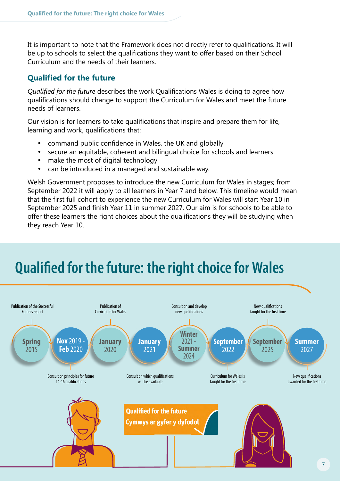It is important to note that the Framework does not directly refer to qualifications. It will be up to schools to select the qualifications they want to offer based on their School Curriculum and the needs of their learners.

### **Qualified for the future**

*Qualified for the future* describes the work Qualifications Wales is doing to agree how qualifications should change to support the Curriculum for Wales and meet the future needs of learners.

Our vision is for learners to take qualifications that inspire and prepare them for life, learning and work, qualifications that:

- command public confidence in Wales, the UK and globally
- · secure an equitable, coherent and bilingual choice for schools and learners
- make the most of digital technology
- can be introduced in a managed and sustainable way.

Welsh Government proposes to introduce the new Curriculum for Wales in stages; from September 2022 it will apply to all learners in Year 7 and below. This timeline would mean that the first full cohort to experience the new Curriculum for Wales will start Year 10 in September 2025 and finish Year 11 in summer 2027. Our aim is for schools to be able to offer these learners the right choices about the qualifications they will be studying when they reach Year 10.

### **Qualified for the future: the right choice for Wales**

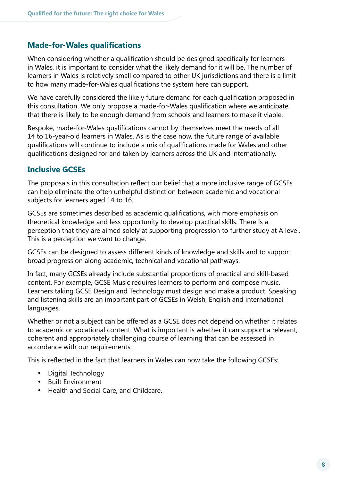### **Made-for-Wales qualifications**

When considering whether a qualification should be designed specifically for learners in Wales, it is important to consider what the likely demand for it will be. The number of learners in Wales is relatively small compared to other UK jurisdictions and there is a limit to how many made-for-Wales qualifications the system here can support.

We have carefully considered the likely future demand for each qualification proposed in this consultation. We only propose a made-for-Wales qualification where we anticipate that there is likely to be enough demand from schools and learners to make it viable.

Bespoke, made-for-Wales qualifications cannot by themselves meet the needs of all 14 to 16-year-old learners in Wales. As is the case now, the future range of available qualifications will continue to include a mix of qualifications made for Wales and other qualifications designed for and taken by learners across the UK and internationally.

### **Inclusive GCSEs**

The proposals in this consultation reflect our belief that a more inclusive range of GCSEs can help eliminate the often unhelpful distinction between academic and vocational subjects for learners aged 14 to 16.

GCSEs are sometimes described as academic qualifications, with more emphasis on theoretical knowledge and less opportunity to develop practical skills. There is a perception that they are aimed solely at supporting progression to further study at A level. This is a perception we want to change.

GCSEs can be designed to assess different kinds of knowledge and skills and to support broad progression along academic, technical and vocational pathways.

In fact, many GCSEs already include substantial proportions of practical and skill-based content. For example, GCSE Music requires learners to perform and compose music. Learners taking GCSE Design and Technology must design and make a product. Speaking and listening skills are an important part of GCSEs in Welsh, English and international languages.

Whether or not a subject can be offered as a GCSE does not depend on whether it relates to academic or vocational content. What is important is whether it can support a relevant, coherent and appropriately challenging course of learning that can be assessed in accordance with our requirements.

This is reflected in the fact that learners in Wales can now take the following GCSEs:

- · Digital Technology
- · Built Environment
- · Health and Social Care, and Childcare.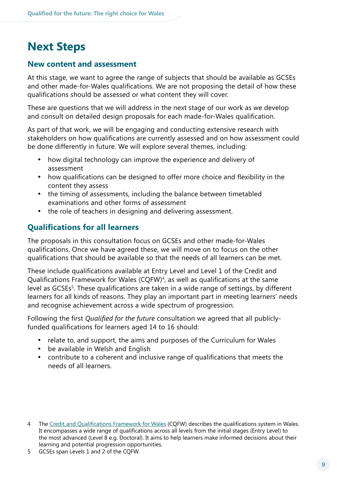### <span id="page-8-0"></span>**Next Steps**

### **New content and assessment**

At this stage, we want to agree the range of subjects that should be available as GCSEs and other made-for-Wales qualifications. We are not proposing the detail of how these qualifications should be assessed or what content they will cover.

These are questions that we will address in the next stage of our work as we develop and consult on detailed design proposals for each made-for-Wales qualification.

As part of that work, we will be engaging and conducting extensive research with stakeholders on how qualifications are currently assessed and on how assessment could be done differently in future. We will explore several themes, including:

- how digital technology can improve the experience and delivery of assessment
- how qualifications can be designed to offer more choice and flexibility in the content they assess
- the timing of assessments, including the balance between timetabled examinations and other forms of assessment
- the role of teachers in designing and delivering assessment.

### **Qualifications for all learners**

The proposals in this consultation focus on GCSEs and other made-for-Wales qualifications. Once we have agreed these, we will move on to focus on the other qualifications that should be available so that the needs of all learners can be met.

These include qualifications available at Entry Level and Level 1 of the Credit and Qualifications Framework for Wales (CQFW)<sup>4</sup>, as well as qualifications at the same level as GCSEs<sup>5</sup>. These qualifications are taken in a wide range of settings, by different learners for all kinds of reasons. They play an important part in meeting learners' needs and recognise achievement across a wide spectrum of progression.

Following the first *Qualified for the future* consultation we agreed that all publiclyfunded qualifications for learners aged 14 to 16 should:

- relate to, and support, the aims and purposes of the Curriculum for Wales
- · be available in Welsh and English
- contribute to a coherent and inclusive range of qualifications that meets the needs of all learners.

5 GCSEs span Levels 1 and 2 of the CQFW.

<sup>4</sup> The Credit and [Qualifications Framework for Wales](https://gov.wales/credit-and-qualifications-framework-cqfw-overview) (CQFW) describes the qualifications system in Wales. It encompasses a wide range of qualifications across all levels from the initial stages (Entry Level) to the most advanced (Level 8 e.g. Doctoral). It aims to help learners make informed decisions about their learning and potential progression opportunities.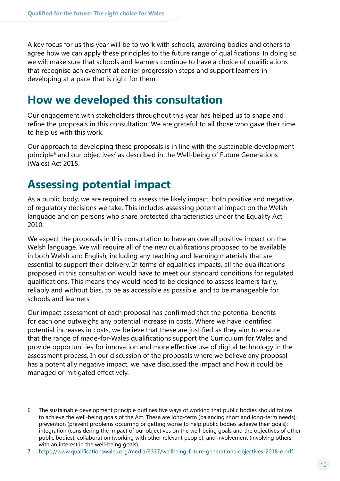<span id="page-9-0"></span>A key focus for us this year will be to work with schools, awarding bodies and others to agree how we can apply these principles to the future range of qualifications. In doing so we will make sure that schools and learners continue to have a choice of qualifications that recognise achievement at earlier progression steps and support learners in developing at a pace that is right for them.

### **How we developed this consultation**

Our engagement with stakeholders throughout this year has helped us to shape and refine the proposals in this consultation. We are grateful to all those who gave their time to help us with this work.

Our approach to developing these proposals is in line with the sustainable development principle<sup>6</sup> and our objectives<sup>7</sup> as described in the Well-being of Future Generations (Wales) Act 2015.

### **Assessing potential impact**

As a public body, we are required to assess the likely impact, both positive and negative, of regulatory decisions we take. This includes assessing potential impact on the Welsh language and on persons who share protected characteristics under the Equality Act 2010.

We expect the proposals in this consultation to have an overall positive impact on the Welsh language. We will require all of the new qualifications proposed to be available in both Welsh and English, including any teaching and learning materials that are essential to support their delivery. In terms of equalities impacts, all the qualifications proposed in this consultation would have to meet our standard conditions for regulated qualifications. This means they would need to be designed to assess learners fairly, reliably and without bias, to be as accessible as possible, and to be manageable for schools and learners.

Our impact assessment of each proposal has confirmed that the potential benefits for each one outweighs any potential increase in costs. Where we have identified potential increases in costs, we believe that these are justified as they aim to ensure that the range of made-for-Wales qualifications support the Curriculum for Wales and provide opportunities for innovation and more effective use of digital technology in the assessment process. In our discussion of the proposals where we believe any proposal has a potentially negative impact, we have discussed the impact and how it could be managed or mitigated effectively.

<sup>6</sup> The sustainable development principle outlines five ways of working that public bodies should follow to achieve the well-being goals of the Act. These are long-term (balancing short and long-term needs); prevention (prevent problems occurring or getting worse to help public bodies achieve their goals); integration (considering the impact of our objectives on the well-being goals and the objectives of other public bodies); collaboration (working with other relevant people); and involvement (involving others with an interest in the well-being goals).

<sup>7</sup> https://www.qualificationswales.org/media[/3337/wellbeing-future-generations-objectives-2018-e.pdf](https://www.qualificationswales.org/media/3337/wellbeing-future-generations-objectives-2018-e.pdf)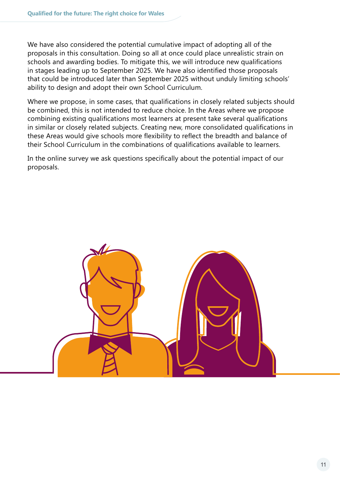We have also considered the potential cumulative impact of adopting all of the proposals in this consultation. Doing so all at once could place unrealistic strain on schools and awarding bodies. To mitigate this, we will introduce new qualifications in stages leading up to September 2025. We have also identified those proposals that could be introduced later than September 2025 without unduly limiting schools' ability to design and adopt their own School Curriculum.

Where we propose, in some cases, that qualifications in closely related subjects should be combined, this is not intended to reduce choice. In the Areas where we propose combining existing qualifications most learners at present take several qualifications in similar or closely related subjects. Creating new, more consolidated qualifications in these Areas would give schools more flexibility to reflect the breadth and balance of their School Curriculum in the combinations of qualifications available to learners.

In the online survey we ask questions specifically about the potential impact of our proposals.

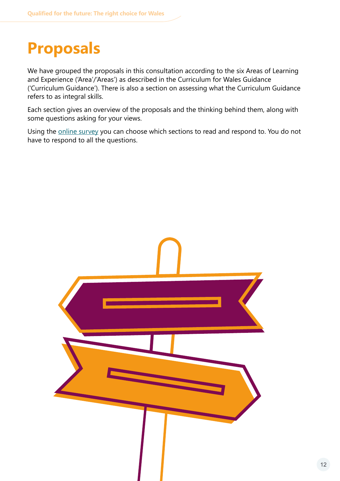### <span id="page-11-0"></span>**Proposals**

We have grouped the proposals in this consultation according to the six Areas of Learning and Experience ('Area'/'Areas') as described in the Curriculum for Wales Guidance ('Curriculum Guidance'). There is also a section on assessing what the Curriculum Guidance refers to as integral skills.

Each section gives an overview of the proposals and the thinking behind them, along with some questions asking for your views.

Using the [online survey](https://protect-eu.mimecast.com/s/_9JKCMQ5uz3zlQukRGi3?domain=eur03.safelinks.protection.outlook.com) you can choose which sections to read and respond to. You do not have to respond to all the questions.

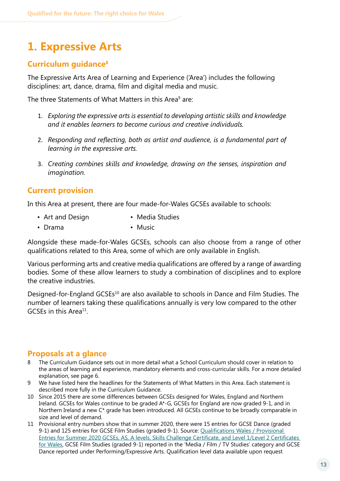### <span id="page-12-0"></span>**1. Expressive Arts**

### **Curriculum guidance8**

The Expressive Arts Area of Learning and Experience ('Area') includes the following disciplines: art, dance, drama, film and digital media and music.

The three Statements of What Matters in this Area<sup>9</sup> are:

- 1. *Exploring the expressive arts is essential to developing artistic skills and knowledge and it enables learners to become curious and creative individuals.*
- 2. *Responding and reflecting, both as artist and audience, is a fundamental part of learning in the expressive arts.*
- 3. *Creating combines skills and knowledge, drawing on the senses, inspiration and imagination.*

### **Current provision**

In this Area at present, there are four made-for-Wales GCSEs available to schools:

- Art and Design Media Studies
- Drama Music

Alongside these made-for-Wales GCSEs, schools can also choose from a range of other qualifications related to this Area, some of which are only available in English.

Various performing arts and creative media qualifications are offered by a range of awarding bodies. Some of these allow learners to study a combination of disciplines and to explore the creative industries.

Designed-for-England GCSEs<sup>10</sup> are also available to schools in Dance and Film Studies. The number of learners taking these qualifications annually is very low compared to the other GCSEs in this Area<sup>11</sup>

### **Proposals at a glance**

- 8 The Curriculum Guidance sets out in more detail what a School Curriculum should cover in relation to the areas of learning and experience, mandatory elements and cross-curricular skills. For a more detailed explanation, see page 6.
- 9 We have listed here the headlines for the Statements of What Matters in this Area. Each statement is described more fully in the Curriculum Guidance.
- 10 Since 2015 there are some differences between GCSEs designed for Wales, England and Northern Ireland. GCSEs for Wales continue to be graded A\*-G, GCSEs for England are now graded 9-1, and in Northern Ireland a new C\* grade has been introduced. All GCSEs continue to be broadly comparable in size and level of demand.
- 11 Provisional entry numbers show that in summer 2020, there were 15 entries for GCSE Dance (graded 9-1) and 125 entries for GCSE Film Studies (graded 9-1). Source: Qualifications Wales / Provisional [Entries for Summer 2020 GCSEs, AS, A levels, Skills Challenge Certificate, and Level 1/Level 2 Certificates](https://protect-eu.mimecast.com/s/FSssCRo5s5q6gEi9rFUn?domain=qualificationswales.org/)  [for Wales](https://protect-eu.mimecast.com/s/FSssCRo5s5q6gEi9rFUn?domain=qualificationswales.org/), GCSE Film Studies (graded 9-1) reported in the 'Media / Film / TV Studies' category and GCSE Dance reported under Performing/Expressive Arts. Qualification level data available upon request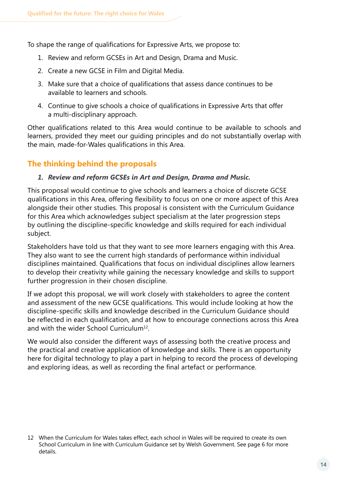To shape the range of qualifications for Expressive Arts, we propose to:

- 1. Review and reform GCSEs in Art and Design, Drama and Music.
- 2. Create a new GCSE in Film and Digital Media.
- 3. Make sure that a choice of qualifications that assess dance continues to be available to learners and schools.
- 4. Continue to give schools a choice of qualifications in Expressive Arts that offer a multi-disciplinary approach.

Other qualifications related to this Area would continue to be available to schools and learners, provided they meet our guiding principles and do not substantially overlap with the main, made-for-Wales qualifications in this Area.

### **The thinking behind the proposals**

#### *1. Review and reform GCSEs in Art and Design, Drama and Music.*

This proposal would continue to give schools and learners a choice of discrete GCSE qualifications in this Area, offering flexibility to focus on one or more aspect of this Area alongside their other studies. This proposal is consistent with the Curriculum Guidance for this Area which acknowledges subject specialism at the later progression steps by outlining the discipline-specific knowledge and skills required for each individual subject.

Stakeholders have told us that they want to see more learners engaging with this Area. They also want to see the current high standards of performance within individual disciplines maintained. Qualifications that focus on individual disciplines allow learners to develop their creativity while gaining the necessary knowledge and skills to support further progression in their chosen discipline.

If we adopt this proposal, we will work closely with stakeholders to agree the content and assessment of the new GCSE qualifications. This would include looking at how the discipline-specific skills and knowledge described in the Curriculum Guidance should be reflected in each qualification, and at how to encourage connections across this Area and with the wider School Curriculum<sup>12</sup>.

We would also consider the different ways of assessing both the creative process and the practical and creative application of knowledge and skills. There is an opportunity here for digital technology to play a part in helping to record the process of developing and exploring ideas, as well as recording the final artefact or performance.

<sup>12</sup> When the Curriculum for Wales takes effect, each school in Wales will be required to create its own School Curriculum in line with Curriculum Guidance set by Welsh Government. See page 6 for more details.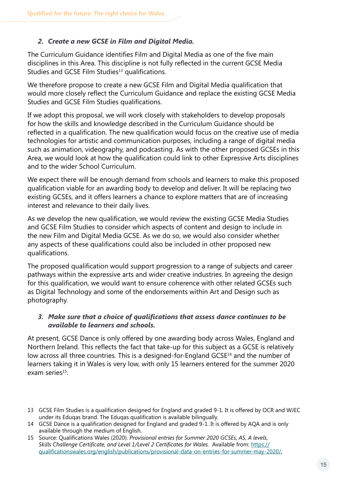#### *2. Create a new GCSE in Film and Digital Media.*

The Curriculum Guidance identifies Film and Digital Media as one of the five main disciplines in this Area. This discipline is not fully reflected in the current GCSE Media Studies and GCSE Film Studies<sup>13</sup> qualifications.

We therefore propose to create a new GCSE Film and Digital Media qualification that would more closely reflect the Curriculum Guidance and replace the existing GCSE Media Studies and GCSE Film Studies qualifications.

If we adopt this proposal, we will work closely with stakeholders to develop proposals for how the skills and knowledge described in the Curriculum Guidance should be reflected in a qualification. The new qualification would focus on the creative use of media technologies for artistic and communication purposes, including a range of digital media such as animation, videography, and podcasting. As with the other proposed GCSEs in this Area, we would look at how the qualification could link to other Expressive Arts disciplines and to the wider School Curriculum.

We expect there will be enough demand from schools and learners to make this proposed qualification viable for an awarding body to develop and deliver. It will be replacing two existing GCSEs, and it offers learners a chance to explore matters that are of increasing interest and relevance to their daily lives.

As we develop the new qualification, we would review the existing GCSE Media Studies and GCSE Film Studies to consider which aspects of content and design to include in the new Film and Digital Media GCSE. As we do so, we would also consider whether any aspects of these qualifications could also be included in other proposed new qualifications.

The proposed qualification would support progression to a range of subjects and career pathways within the expressive arts and wider creative industries. In agreeing the design for this qualification, we would want to ensure coherence with other related GCSEs such as Digital Technology and some of the endorsements within Art and Design such as photography.

#### *3. Make sure that a choice of qualifications that assess dance continues to be available to learners and schools.*

At present, GCSE Dance is only offered by one awarding body across Wales, England and Northern Ireland. This reflects the fact that take-up for this subject as a GCSE is relatively low across all three countries. This is a designed-for-England GCSE<sup>14</sup> and the number of learners taking it in Wales is very low, with only 15 learners entered for the summer 2020 exam series<sup>15</sup>.

<sup>13</sup> GCSE Film Studies is a qualification designed for England and graded 9-1. It is offered by OCR and WJEC under its Eduqas brand. The Eduqas qualification is available bilingually.

<sup>14</sup> GCSE Dance is a qualification designed for England and graded 9-1. It is offered by AQA and is only available through the medium of English.

<sup>15</sup> Source: Qualifications Wales (2020). *Provisional entries for Summer 2020 GCSEs, AS, A levels, Skills Challenge Certificate, and Level 1/Level 2 Certificates for Wales.* Available from: [https://](https://qualificationswales.org/english/publications/provisional-data-on-entries-for-summer-may-2020/) [qualificationswales.org/english/publications/provisional-data-on-entries-](https://qualificationswales.org/english/publications/provisional-data-on-entries-for-summer-may-2020/)for-summer-may-2020/,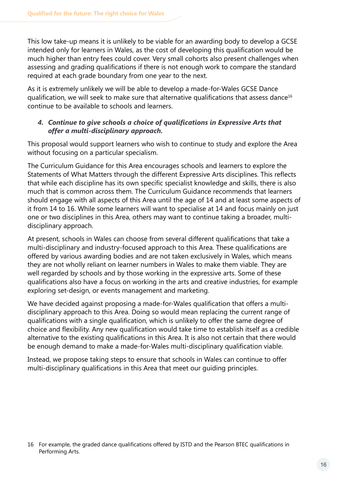This low take-up means it is unlikely to be viable for an awarding body to develop a GCSE intended only for learners in Wales, as the cost of developing this qualification would be much higher than entry fees could cover. Very small cohorts also present challenges when assessing and grading qualifications if there is not enough work to compare the standard required at each grade boundary from one year to the next.

As it is extremely unlikely we will be able to develop a made-for-Wales GCSE Dance qualification, we will seek to make sure that alternative qualifications that assess dance16 continue to be available to schools and learners.

#### *4. Continue to give schools a choice of qualifications in Expressive Arts that offer a multi-disciplinary approach.*

This proposal would support learners who wish to continue to study and explore the Area without focusing on a particular specialism.

The Curriculum Guidance for this Area encourages schools and learners to explore the Statements of What Matters through the different Expressive Arts disciplines. This reflects that while each discipline has its own specific specialist knowledge and skills, there is also much that is common across them. The Curriculum Guidance recommends that learners should engage with all aspects of this Area until the age of 14 and at least some aspects of it from 14 to 16. While some learners will want to specialise at 14 and focus mainly on just one or two disciplines in this Area, others may want to continue taking a broader, multidisciplinary approach.

At present, schools in Wales can choose from several different qualifications that take a multi-disciplinary and industry-focused approach to this Area. These qualifications are offered by various awarding bodies and are not taken exclusively in Wales, which means they are not wholly reliant on learner numbers in Wales to make them viable. They are well regarded by schools and by those working in the expressive arts. Some of these qualifications also have a focus on working in the arts and creative industries, for example exploring set-design, or events management and marketing.

We have decided against proposing a made-for-Wales qualification that offers a multidisciplinary approach to this Area. Doing so would mean replacing the current range of qualifications with a single qualification, which is unlikely to offer the same degree of choice and flexibility. Any new qualification would take time to establish itself as a credible alternative to the existing qualifications in this Area. It is also not certain that there would be enough demand to make a made-for-Wales multi-disciplinary qualification viable.

Instead, we propose taking steps to ensure that schools in Wales can continue to offer multi-disciplinary qualifications in this Area that meet our guiding principles.

<sup>16</sup> For example, the graded dance qualifications offered by ISTD and the Pearson BTEC qualifications in Performing Arts.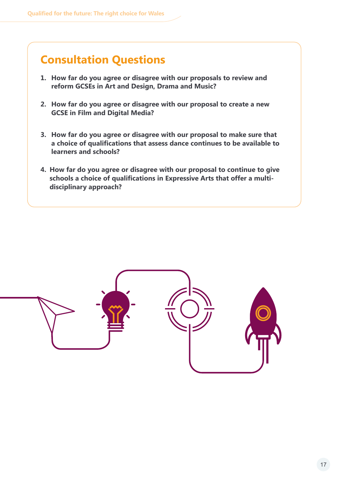### **Consultation Questions**

- **1. How far do you agree or disagree with our proposals to review and reform GCSEs in Art and Design, Drama and Music?**
- **2. How far do you agree or disagree with our proposal to create a new GCSE in Film and Digital Media?**
- **3. How far do you agree or disagree with our proposal to make sure that a choice of qualifications that assess dance continues to be available to learners and schools?**
- **4. How far do you agree or disagree with our proposal to continue to give schools a choice of qualifications in Expressive Arts that offer a multidisciplinary approach?**

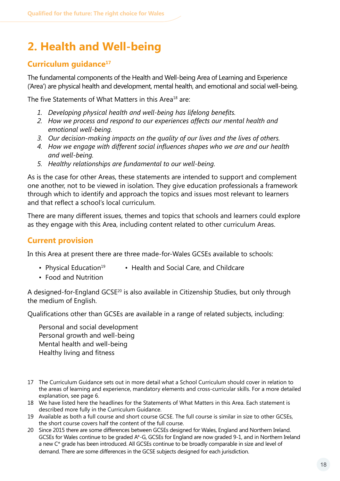### <span id="page-17-0"></span>**2. Health and Well-being**

### **Curriculum guidance17**

The fundamental components of the Health and Well-being Area of Learning and Experience ('Area') are physical health and development, mental health, and emotional and social well-being.

The five Statements of What Matters in this Area<sup>18</sup> are:

- *1. Developing physical health and well-being has lifelong benefits.*
- *2. How we process and respond to our experiences affects our mental health and emotional well-being.*
- *3. Our decision-making impacts on the quality of our lives and the lives of others.*
- *4. How we engage with different social influences shapes who we are and our health and well-being.*
- *5. Healthy relationships are fundamental to our well-being.*

As is the case for other Areas, these statements are intended to support and complement one another, not to be viewed in isolation. They give education professionals a framework through which to identify and approach the topics and issues most relevant to learners and that reflect a school's local curriculum.

There are many different issues, themes and topics that schools and learners could explore as they engage with this Area, including content related to other curriculum Areas.

### **Current provision**

In this Area at present there are three made-for-Wales GCSEs available to schools:

- Physical Education<sup>19</sup> Health and Social Care, and Childcare
- Food and Nutrition

A designed-for-England GCSE20 is also available in Citizenship Studies, but only through the medium of English.

Qualifications other than GCSEs are available in a range of related subjects, including:

Personal and social development Personal growth and well-being Mental health and well-being Healthy living and fitness

- 17 The Curriculum Guidance sets out in more detail what a School Curriculum should cover in relation to the areas of learning and experience, mandatory elements and cross-curricular skills. For a more detailed explanation, see page 6.
- 18 We have listed here the headlines for the Statements of What Matters in this Area. Each statement is described more fully in the Curriculum Guidance.
- 19 Available as both a full course and short course GCSE. The full course is similar in size to other GCSEs, the short course covers half the content of the full course.
- 20 Since 2015 there are some differences between GCSEs designed for Wales, England and Northern Ireland. GCSEs for Wales continue to be graded A\*-G, GCSEs for England are now graded 9-1, and in Northern Ireland a new C\* grade has been introduced. All GCSEs continue to be broadly comparable in size and level of demand. There are some differences in the GCSE subjects designed for each jurisdiction.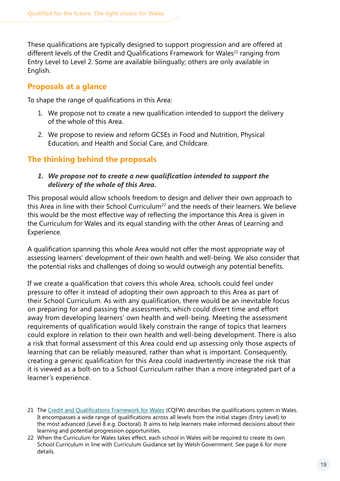These qualifications are typically designed to support progression and are offered at different levels of the Credit and Qualifications Framework for Wales<sup>21</sup> ranging from Entry Level to Level 2. Some are available bilingually; others are only available in English.

### **Proposals at a glance**

To shape the range of qualifications in this Area:

- 1. We propose not to create a new qualification intended to support the delivery of the whole of this Area.
- 2. We propose to review and reform GCSEs in Food and Nutrition, Physical Education, and Health and Social Care, and Childcare.

### **The thinking behind the proposals**

*1. We propose not to create a new qualification intended to support the delivery of the whole of this Area.*

This proposal would allow schools freedom to design and deliver their own approach to this Area in line with their School Curriculum<sup>22</sup> and the needs of their learners. We believe this would be the most effective way of reflecting the importance this Area is given in the Curriculum for Wales and its equal standing with the other Areas of Learning and Experience.

A qualification spanning this whole Area would not offer the most appropriate way of assessing learners' development of their own health and well-being. We also consider that the potential risks and challenges of doing so would outweigh any potential benefits.

If we create a qualification that covers this whole Area, schools could feel under pressure to offer it instead of adopting their own approach to this Area as part of their School Curriculum. As with any qualification, there would be an inevitable focus on preparing for and passing the assessments, which could divert time and effort away from developing learners' own health and well-being. Meeting the assessment requirements of qualification would likely constrain the range of topics that learners could explore in relation to their own health and well-being development. There is also a risk that formal assessment of this Area could end up assessing only those aspects of learning that can be reliably measured, rather than what is important. Consequently, creating a generic qualification for this Area could inadvertently increase the risk that it is viewed as a bolt-on to a School Curriculum rather than a more integrated part of a learner's experience.

- 21 The [Credit and Qualifications Framework for](https://gov.wales/credit-and-qualifications-framework-cqfw-overview) Wales (CQFW) describes the qualifications system in Wales. It encompasses a wide range of qualifications across all levels from the initial stages (Entry Level) to the most advanced (Level 8 e.g. Doctoral). It aims to help learners make informed decisions about their learning and potential progression opportunities.
- 22 When the Curriculum for Wales takes effect, each school in Wales will be required to create its own School Curriculum in line with Curriculum Guidance set by Welsh Government. See page 6 for more details.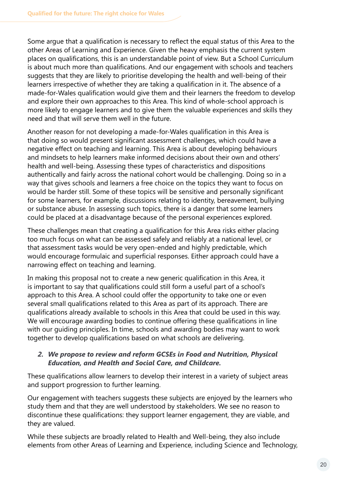Some argue that a qualification is necessary to reflect the equal status of this Area to the other Areas of Learning and Experience. Given the heavy emphasis the current system places on qualifications, this is an understandable point of view. But a School Curriculum is about much more than qualifications. And our engagement with schools and teachers suggests that they are likely to prioritise developing the health and well-being of their learners irrespective of whether they are taking a qualification in it. The absence of a made-for-Wales qualification would give them and their learners the freedom to develop and explore their own approaches to this Area. This kind of whole-school approach is more likely to engage learners and to give them the valuable experiences and skills they need and that will serve them well in the future.

Another reason for not developing a made-for-Wales qualification in this Area is that doing so would present significant assessment challenges, which could have a negative effect on teaching and learning. This Area is about developing behaviours and mindsets to help learners make informed decisions about their own and others' health and well-being. Assessing these types of characteristics and dispositions authentically and fairly across the national cohort would be challenging. Doing so in a way that gives schools and learners a free choice on the topics they want to focus on would be harder still. Some of these topics will be sensitive and personally significant for some learners, for example, discussions relating to identity, bereavement, bullying or substance abuse. In assessing such topics, there is a danger that some learners could be placed at a disadvantage because of the personal experiences explored.

These challenges mean that creating a qualification for this Area risks either placing too much focus on what can be assessed safely and reliably at a national level, or that assessment tasks would be very open-ended and highly predictable, which would encourage formulaic and superficial responses. Either approach could have a narrowing effect on teaching and learning.

In making this proposal not to create a new generic qualification in this Area, it is important to say that qualifications could still form a useful part of a school's approach to this Area. A school could offer the opportunity to take one or even several small qualifications related to this Area as part of its approach. There are qualifications already available to schools in this Area that could be used in this way. We will encourage awarding bodies to continue offering these qualifications in line with our guiding principles. In time, schools and awarding bodies may want to work together to develop qualifications based on what schools are delivering.

#### *2. We propose to review and reform GCSEs in Food and Nutrition, Physical Education, and Health and Social Care, and Childcare.*

These qualifications allow learners to develop their interest in a variety of subject areas and support progression to further learning.

Our engagement with teachers suggests these subjects are enjoyed by the learners who study them and that they are well understood by stakeholders. We see no reason to discontinue these qualifications: they support learner engagement, they are viable, and they are valued.

While these subjects are broadly related to Health and Well-being, they also include elements from other Areas of Learning and Experience, including Science and Technology,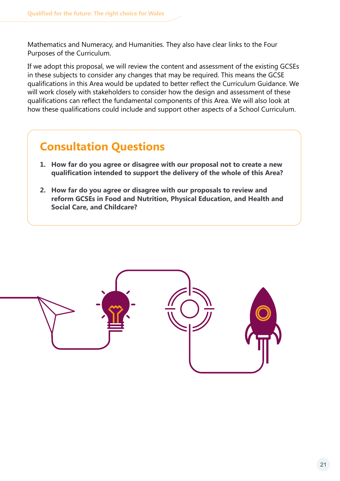Mathematics and Numeracy, and Humanities. They also have clear links to the Four Purposes of the Curriculum.

If we adopt this proposal, we will review the content and assessment of the existing GCSEs in these subjects to consider any changes that may be required. This means the GCSE qualifications in this Area would be updated to better reflect the Curriculum Guidance. We will work closely with stakeholders to consider how the design and assessment of these qualifications can reflect the fundamental components of this Area. We will also look at how these qualifications could include and support other aspects of a School Curriculum.

### **Consultation Questions**

- **1. How far do you agree or disagree with our proposal not to create a new qualification intended to support the delivery of the whole of this Area?**
- **2. How far do you agree or disagree with our proposals to review and reform GCSEs in Food and Nutrition, Physical Education, and Health and Social Care, and Childcare?**

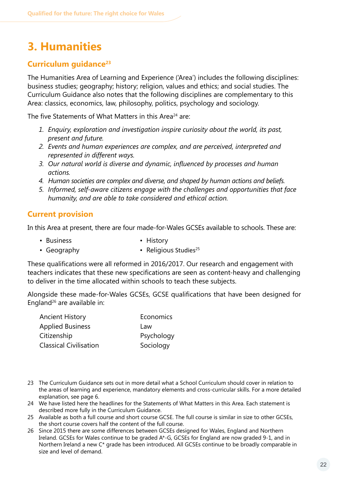### <span id="page-21-0"></span>**3. Humanities**

### **Curriculum guidance23**

The Humanities Area of Learning and Experience ('Area') includes the following disciplines: business studies; geography; history; religion, values and ethics; and social studies. The Curriculum Guidance also notes that the following disciplines are complementary to this Area: classics, economics, law, philosophy, politics, psychology and sociology.

The five Statements of What Matters in this Area<sup>24</sup> are:

- *1. Enquiry, exploration and investigation inspire curiosity about the world, its past, present and future.*
- *2. Events and human experiences are complex, and are perceived, interpreted and represented in different ways.*
- *3. Our natural world is diverse and dynamic, influenced by processes and human actions.*
- *4. Human societies are complex and diverse, and shaped by human actions and beliefs.*
- *5. Informed, self-aware citizens engage with the challenges and opportunities that face humanity, and are able to take considered and ethical action.*

### **Current provision**

In this Area at present, there are four made-for-Wales GCSEs available to schools. These are:

- 
- Business History
- Geography  **Religious Studies**<sup>25</sup>

These qualifications were all reformed in 2016/2017. Our research and engagement with teachers indicates that these new specifications are seen as content-heavy and challenging to deliver in the time allocated within schools to teach these subjects.

Alongside these made-for-Wales GCSEs, GCSE qualifications that have been designed for England26 are available in:

| <b>Ancient History</b>        | Economics  |
|-------------------------------|------------|
| <b>Applied Business</b>       | Law        |
| Citizenship                   | Psychology |
| <b>Classical Civilisation</b> | Sociology  |

- 23 The Curriculum Guidance sets out in more detail what a School Curriculum should cover in relation to the areas of learning and experience, mandatory elements and cross-curricular skills. For a more detailed explanation, see page 6.
- 24 We have listed here the headlines for the Statements of What Matters in this Area. Each statement is described more fully in the Curriculum Guidance.
- 25 Available as both a full course and short course GCSE. The full course is similar in size to other GCSEs, the short course covers half the content of the full course.
- 26 Since 2015 there are some differences between GCSEs designed for Wales, England and Northern Ireland. GCSEs for Wales continue to be graded A\*-G, GCSEs for England are now graded 9-1, and in Northern Ireland a new C\* grade has been introduced. All GCSEs continue to be broadly comparable in size and level of demand.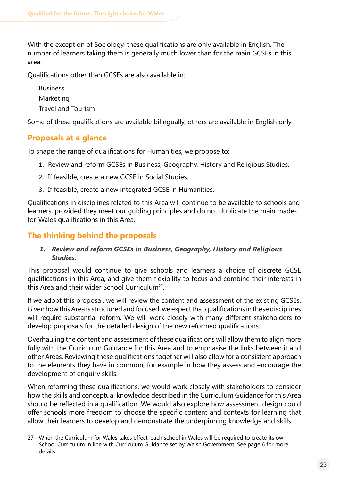With the exception of Sociology, these qualifications are only available in English. The number of learners taking them is generally much lower than for the main GCSEs in this area.

Qualifications other than GCSEs are also available in:

Business Marketing Travel and Tourism

Some of these qualifications are available bilingually, others are available in English only.

### **Proposals at a glance**

To shape the range of qualifications for Humanities, we propose to:

- 1. Review and reform GCSEs in Business, Geography, History and Religious Studies.
- 2. If feasible, create a new GCSE in Social Studies.
- 3. If feasible, create a new integrated GCSE in Humanities.

Qualifications in disciplines related to this Area will continue to be available to schools and learners, provided they meet our guiding principles and do not duplicate the main madefor-Wales qualifications in this Area.

### **The thinking behind the proposals**

#### *1. Review and reform GCSEs in Business, Geography, History and Religious Studies.*

This proposal would continue to give schools and learners a choice of discrete GCSE qualifications in this Area, and give them flexibility to focus and combine their interests in this Area and their wider School Curriculum<sup>27</sup>.

If we adopt this proposal, we will review the content and assessment of the existing GCSEs. Given how this Area is structured and focused, we expect that qualifications in these disciplines will require substantial reform. We will work closely with many different stakeholders to develop proposals for the detailed design of the new reformed qualifications.

Overhauling the content and assessment of these qualifications will allow them to align more fully with the Curriculum Guidance for this Area and to emphasise the links between it and other Areas. Reviewing these qualifications together will also allow for a consistent approach to the elements they have in common, for example in how they assess and encourage the development of enquiry skills.

When reforming these qualifications, we would work closely with stakeholders to consider how the skills and conceptual knowledge described in the Curriculum Guidance for this Area should be reflected in a qualification. We would also explore how assessment design could offer schools more freedom to choose the specific content and contexts for learning that allow their learners to develop and demonstrate the underpinning knowledge and skills.

27 When the Curriculum for Wales takes effect, each school in Wales will be required to create its own School Curriculum in line with Curriculum Guidance set by Welsh Government. See page 6 for more details.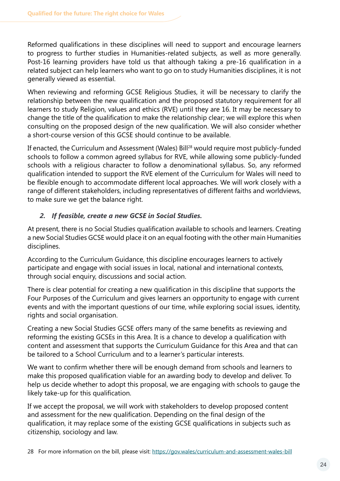Reformed qualifications in these disciplines will need to support and encourage learners to progress to further studies in Humanities-related subjects, as well as more generally. Post-16 learning providers have told us that although taking a pre-16 qualification in a related subject can help learners who want to go on to study Humanities disciplines, it is not generally viewed as essential.

When reviewing and reforming GCSE Religious Studies, it will be necessary to clarify the relationship between the new qualification and the proposed statutory requirement for all learners to study Religion, values and ethics (RVE) until they are 16. It may be necessary to change the title of the qualification to make the relationship clear; we will explore this when consulting on the proposed design of the new qualification. We will also consider whether a short-course version of this GCSE should continue to be available.

If enacted, the Curriculum and Assessment (Wales) Bill<sup>28</sup> would require most publicly-funded schools to follow a common agreed syllabus for RVE, while allowing some publicly-funded schools with a religious character to follow a denominational syllabus. So, any reformed qualification intended to support the RVE element of the Curriculum for Wales will need to be flexible enough to accommodate different local approaches. We will work closely with a range of different stakeholders, including representatives of different faiths and worldviews, to make sure we get the balance right.

### *2. If feasible, create a new GCSE in Social Studies.*

At present, there is no Social Studies qualification available to schools and learners. Creating a new Social Studies GCSE would place it on an equal footing with the other main Humanities disciplines.

According to the Curriculum Guidance, this discipline encourages learners to actively participate and engage with social issues in local, national and international contexts, through social enquiry, discussions and social action.

There is clear potential for creating a new qualification in this discipline that supports the Four Purposes of the Curriculum and gives learners an opportunity to engage with current events and with the important questions of our time, while exploring social issues, identity, rights and social organisation.

Creating a new Social Studies GCSE offers many of the same benefits as reviewing and reforming the existing GCSEs in this Area. It is a chance to develop a qualification with content and assessment that supports the Curriculum Guidance for this Area and that can be tailored to a School Curriculum and to a learner's particular interests.

We want to confirm whether there will be enough demand from schools and learners to make this proposed qualification viable for an awarding body to develop and deliver. To help us decide whether to adopt this proposal, we are engaging with schools to gauge the likely take-up for this qualification.

If we accept the proposal, we will work with stakeholders to develop proposed content and assessment for the new qualification. Depending on the final design of the qualification, it may replace some of the existing GCSE qualifications in subjects such as citizenship, sociology and law.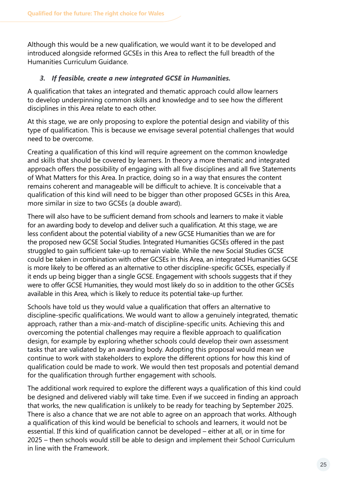Although this would be a new qualification, we would want it to be developed and introduced alongside reformed GCSEs in this Area to reflect the full breadth of the Humanities Curriculum Guidance.

#### *3. If feasible, create a new integrated GCSE in Humanities.*

A qualification that takes an integrated and thematic approach could allow learners to develop underpinning common skills and knowledge and to see how the different disciplines in this Area relate to each other.

At this stage, we are only proposing to explore the potential design and viability of this type of qualification. This is because we envisage several potential challenges that would need to be overcome.

Creating a qualification of this kind will require agreement on the common knowledge and skills that should be covered by learners. In theory a more thematic and integrated approach offers the possibility of engaging with all five disciplines and all five Statements of What Matters for this Area. In practice, doing so in a way that ensures the content remains coherent and manageable will be difficult to achieve. It is conceivable that a qualification of this kind will need to be bigger than other proposed GCSEs in this Area, more similar in size to two GCSEs (a double award).

There will also have to be sufficient demand from schools and learners to make it viable for an awarding body to develop and deliver such a qualification. At this stage, we are less confident about the potential viability of a new GCSE Humanities than we are for the proposed new GCSE Social Studies. Integrated Humanities GCSEs offered in the past struggled to gain sufficient take-up to remain viable. While the new Social Studies GCSE could be taken in combination with other GCSEs in this Area, an integrated Humanities GCSE is more likely to be offered as an alternative to other discipline-specific GCSEs, especially if it ends up being bigger than a single GCSE. Engagement with schools suggests that if they were to offer GCSE Humanities, they would most likely do so in addition to the other GCSEs available in this Area, which is likely to reduce its potential take-up further.

Schools have told us they would value a qualification that offers an alternative to discipline-specific qualifications. We would want to allow a genuinely integrated, thematic approach, rather than a mix-and-match of discipline-specific units. Achieving this and overcoming the potential challenges may require a flexible approach to qualification design, for example by exploring whether schools could develop their own assessment tasks that are validated by an awarding body. Adopting this proposal would mean we continue to work with stakeholders to explore the different options for how this kind of qualification could be made to work. We would then test proposals and potential demand for the qualification through further engagement with schools.

The additional work required to explore the different ways a qualification of this kind could be designed and delivered viably will take time. Even if we succeed in finding an approach that works, the new qualification is unlikely to be ready for teaching by September 2025. There is also a chance that we are not able to agree on an approach that works. Although a qualification of this kind would be beneficial to schools and learners, it would not be essential. If this kind of qualification cannot be developed – either at all, or in time for 2025 – then schools would still be able to design and implement their School Curriculum in line with the Framework.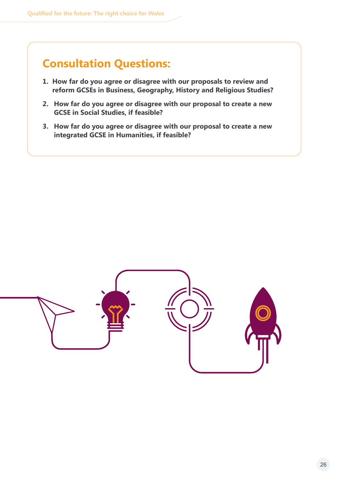### **Consultation Questions:**

- **1. How far do you agree or disagree with our proposals to review and reform GCSEs in Business, Geography, History and Religious Studies?**
- **2. How far do you agree or disagree with our proposal to create a new GCSE in Social Studies, if feasible?**
- **3. How far do you agree or disagree with our proposal to create a new integrated GCSE in Humanities, if feasible?**

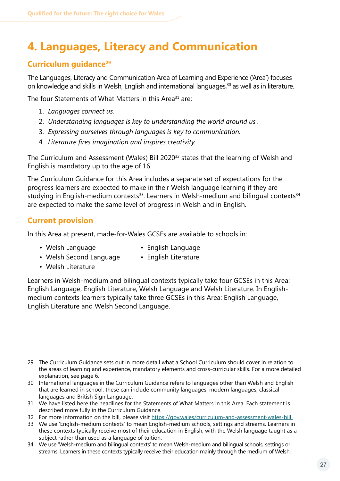### <span id="page-26-0"></span>**4. Languages, Literacy and Communication**

### **Curriculum guidance<sup>29</sup>**

The Languages, Literacy and Communication Area of Learning and Experience ('Area') focuses on knowledge and skills in Welsh, English and international languages,<sup>30</sup> as well as in literature.

The four Statements of What Matters in this Area<sup>31</sup> are:

- 1. *Languages connect us.*
- 2. *Understanding languages is key to understanding the world around us .*
- 3. *Expressing ourselves through languages is key to communication.*
- 4. *Literature fires imagination and inspires creativity.*

The Curriculum and Assessment (Wales) Bill 2020<sup>32</sup> states that the learning of Welsh and English is mandatory up to the age of 16.

The Curriculum Guidance for this Area includes a separate set of expectations for the progress learners are expected to make in their Welsh language learning if they are studying in English-medium contexts<sup>33</sup>. Learners in Welsh-medium and bilingual contexts<sup>34</sup> are expected to make the same level of progress in Welsh and in English.

### **Current provision**

In this Area at present, made-for-Wales GCSEs are available to schools in:

- 
- Welsh Language **English Language**
- Welsh Second Language English Literature
- 
- Welsh Literature

Learners in Welsh-medium and bilingual contexts typically take four GCSEs in this Area: English Language, English Literature, Welsh Language and Welsh Literature. In Englishmedium contexts learners typically take three GCSEs in this Area: English Language, English Literature and Welsh Second Language.

- 29 The Curriculum Guidance sets out in more detail what a School Curriculum should cover in relation to the areas of learning and experience, mandatory elements and cross-curricular skills. For a more detailed explanation, see page 6.
- 30 International languages in the Curriculum Guidance refers to languages other than Welsh and English that are learned in school; these can include community languages, modern languages, classical languages and British Sign Language.
- 31 We have listed here the headlines for the Statements of What Matters in this Area. Each statement is described more fully in the Curriculum Guidance.
- 32 For more information on the bill, please visit<https://gov.wales/curriculum-and-assessment-wales-bill>
- 33 We use 'English-medium contexts' to mean English-medium schools, settings and streams. Learners in these contexts typically receive most of their education in English, with the Welsh language taught as a subject rather than used as a language of tuition.
- 34 We use 'Welsh-medium and bilingual contexts' to mean Welsh-medium and bilingual schools, settings or streams. Learners in these contexts typically receive their education mainly through the medium of Welsh.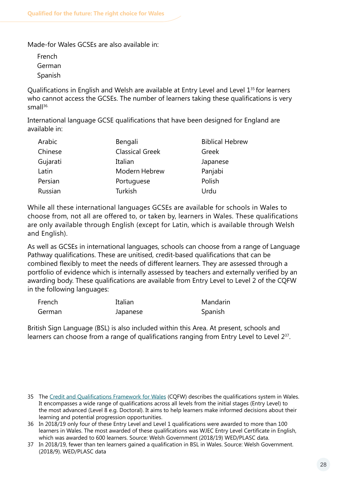Made-for Wales GCSEs are also available in:

French German Spanish

Qualifications in English and Welsh are available at Entry Level and Level 1<sup>35</sup> for learners who cannot access the GCSEs. The number of learners taking these qualifications is very  $small<sup>36</sup>$ 

International language GCSE qualifications that have been designed for England are available in:

| Arabic   | Bengali                | <b>Biblical Hebrew</b> |
|----------|------------------------|------------------------|
| Chinese  | <b>Classical Greek</b> | Greek                  |
| Gujarati | Italian                | Japanese               |
| Latin    | Modern Hebrew          | Panjabi                |
| Persian  | Portuguese             | Polish                 |
| Russian  | <b>Turkish</b>         | Urdu                   |

While all these international languages GCSEs are available for schools in Wales to choose from, not all are offered to, or taken by, learners in Wales. These qualifications are only available through English (except for Latin, which is available through Welsh and English).

As well as GCSEs in international languages, schools can choose from a range of Language Pathway qualifications. These are unitised, credit-based qualifications that can be combined flexibly to meet the needs of different learners. They are assessed through a portfolio of evidence which is internally assessed by teachers and externally verified by an awarding body. These qualifications are available from Entry Level to Level 2 of the CQFW in the following languages:

| French | Italian  | Mandarin |
|--------|----------|----------|
| German | Japanese | Spanish  |

British Sign Language (BSL) is also included within this Area. At present, schools and learners can choose from a range of qualifications ranging from Entry Level to Level 2<sup>37</sup>.

<sup>35</sup> The [Credit and Qualifications Framework for Wales](https://gov.wales/credit-and-qualifications-framework-cqfw-overview) (CQFW) describes the qualifications system in Wales. It encompasses a wide range of qualifications across all levels from the initial stages (Entry Level) to the most advanced (Level 8 e.g. Doctoral). It aims to help learners make informed decisions about their learning and potential progression opportunities.

<sup>36</sup> In 2018/19 only four of these Entry Level and Level 1 qualifications were awarded to more than 100 learners in Wales. The most awarded of these qualifications was WJEC Entry Level Certificate in English, which was awarded to 600 learners. Source: Welsh Government (2018/19) WED/PLASC data.

<sup>37</sup> In 2018/19, fewer than ten learners gained a qualification in BSL in Wales. Source: Welsh Government. (2018/9). WED/PLASC data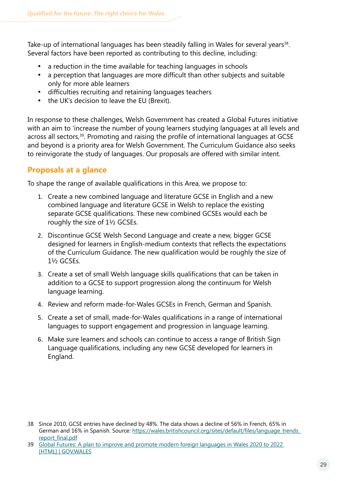Take-up of international languages has been steadily falling in Wales for several years<sup>38</sup>. Several factors have been reported as contributing to this decline, including:

- a reduction in the time available for teaching languages in schools
- a perception that languages are more difficult than other subjects and suitable only for more able learners
- · difficulties recruiting and retaining languages teachers
- the UK's decision to leave the EU (Brexit).

In response to these challenges, Welsh Government has created a Global Futures initiative with an aim to 'increase the number of young learners studying languages at all levels and across all sectors,39*.* Promoting and raising the profile of international languages at GCSE and beyond is a priority area for Welsh Government. The Curriculum Guidance also seeks to reinvigorate the study of languages. Our proposals are offered with similar intent.

### **Proposals at a glance**

To shape the range of available qualifications in this Area, we propose to:

- 1. Create a new combined language and literature GCSE in English and a new combined language and literature GCSE in Welsh to replace the existing separate GCSE qualifications. These new combined GCSEs would each be roughly the size of 1½ GCSEs.
- 2. Discontinue GCSE Welsh Second Language and create a new, bigger GCSE designed for learners in English-medium contexts that reflects the expectations of the Curriculum Guidance. The new qualification would be roughly the size of 1½ GCSEs.
- 3. Create a set of small Welsh language skills qualifications that can be taken in addition to a GCSE to support progression along the continuum for Welsh language learning.
- 4. Review and reform made-for-Wales GCSEs in French, German and Spanish.
- 5. Create a set of small, made-for-Wales qualifications in a range of international languages to support engagement and progression in language learning.
- 6. Make sure learners and schools can continue to access a range of British Sign Language qualifications, including any new GCSE developed for learners in England.

<sup>38</sup> Since 2010, GCSE entries have declined by 48%. The data shows a decline of 56% in French, 65% in German and 16% in Spanish. Source: https://wales[.britishcouncil.org/sites/default/files/language\\_trends\\_](https://wales.britishcouncil.org/sites/default/files/language_trends_report_final.pdf) [report\\_final.pdf](https://wales.britishcouncil.org/sites/default/files/language_trends_report_final.pdf)

<sup>39</sup> [Global Futures: A plan to improve and promote modern foreign languages in Wales 2020 to 2022](https://gov.wales/global-futures-plan-improve-and-promote-modern-foreign-languages-wales-2020-2022-html)  [HTML] | GOV.WALES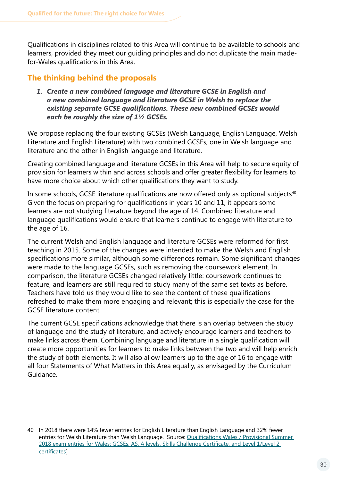Qualifications in disciplines related to this Area will continue to be available to schools and learners, provided they meet our guiding principles and do not duplicate the main madefor-Wales qualifications in this Area.

### **The thinking behind the proposals**

*1. Create a new combined language and literature GCSE in English and a new combined language and literature GCSE in Welsh to replace the existing separate GCSE qualifications. These new combined GCSEs would each be roughly the size of 1½ GCSEs.*

We propose replacing the four existing GCSEs (Welsh Language, English Language, Welsh Literature and English Literature) with two combined GCSEs, one in Welsh language and literature and the other in English language and literature.

Creating combined language and literature GCSEs in this Area will help to secure equity of provision for learners within and across schools and offer greater flexibility for learners to have more choice about which other qualifications they want to study.

In some schools, GCSE literature qualifications are now offered only as optional subjects<sup>40</sup>. Given the focus on preparing for qualifications in years 10 and 11, it appears some learners are not studying literature beyond the age of 14. Combined literature and language qualifications would ensure that learners continue to engage with literature to the age of 16.

The current Welsh and English language and literature GCSEs were reformed for first teaching in 2015. Some of the changes were intended to make the Welsh and English specifications more similar, although some differences remain. Some significant changes were made to the language GCSEs, such as removing the coursework element. In comparison, the literature GCSEs changed relatively little: coursework continues to feature, and learners are still required to study many of the same set texts as before. Teachers have told us they would like to see the content of these qualifications refreshed to make them more engaging and relevant; this is especially the case for the GCSE literature content.

The current GCSE specifications acknowledge that there is an overlap between the study of language and the study of literature, and actively encourage learners and teachers to make links across them. Combining language and literature in a single qualification will create more opportunities for learners to make links between the two and will help enrich the study of both elements. It will also allow learners up to the age of 16 to engage with all four Statements of What Matters in this Area equally, as envisaged by the Curriculum Guidance.

<sup>40</sup> In 2018 there were 14% fewer entries for English Literature than English Language and 32% fewer entries for Welsh Literature than Welsh Language. Source: Qualifications Wales / Provisional Summer [2018 exam entries for Wales: GCSEs, AS, A levels, Skills Challenge](https://qualificationswales.org/media/3413/provisional-summer-2018-exam-entries-for-wales.pdf) Certificate, and Level 1/Level 2 [certificates](https://qualificationswales.org/media/3413/provisional-summer-2018-exam-entries-for-wales.pdf)]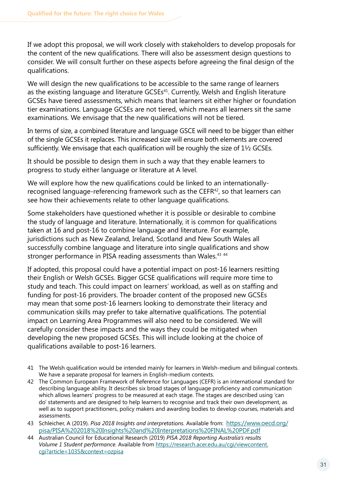If we adopt this proposal, we will work closely with stakeholders to develop proposals for the content of the new qualifications. There will also be assessment design questions to consider. We will consult further on these aspects before agreeing the final design of the qualifications.

We will design the new qualifications to be accessible to the same range of learners as the existing language and literature GCSEs<sup>41</sup>. Currently, Welsh and English literature GCSEs have tiered assessments, which means that learners sit either higher or foundation tier examinations. Language GCSEs are not tiered, which means all learners sit the same examinations. We envisage that the new qualifications will not be tiered.

In terms of size, a combined literature and language GSCE will need to be bigger than either of the single GCSEs it replaces. This increased size will ensure both elements are covered sufficiently. We envisage that each qualification will be roughly the size of 1<sup>1</sup>/<sub>2</sub> GCSEs.

It should be possible to design them in such a way that they enable learners to progress to study either language or literature at A level.

We will explore how the new qualifications could be linked to an internationallyrecognised language-referencing framework such as the CEFR<sup>42</sup>, so that learners can see how their achievements relate to other language qualifications.

Some stakeholders have questioned whether it is possible or desirable to combine the study of language and literature. Internationally, it is common for qualifications taken at 16 and post-16 to combine language and literature. For example, jurisdictions such as New Zealand, Ireland, Scotland and New South Wales all successfully combine language and literature into single qualifications and show stronger performance in PISA reading assessments than Wales.<sup>43 44</sup>

If adopted, this proposal could have a potential impact on post-16 learners resitting their English or Welsh GCSEs. Bigger GCSE qualifications will require more time to study and teach. This could impact on learners' workload, as well as on staffing and funding for post-16 providers. The broader content of the proposed new GCSEs may mean that some post-16 learners looking to demonstrate their literacy and communication skills may prefer to take alternative qualifications. The potential impact on Learning Area Programmes will also need to be considered. We will carefully consider these impacts and the ways they could be mitigated when developing the new proposed GCSEs. This will include looking at the choice of qualifications available to post-16 learners.

- 41 The Welsh qualification would be intended mainly for learners in Welsh-medium and bilingual contexts. We have a separate proposal for learners in English-medium contexts.
- 42 The Common European Framework of Reference for Languages (CEFR) is an international standard for describing language ability. It describes six broad stages of language proficiency and communication which allows learners' progress to be measured at each stage. The stages are described using 'can do' statements and are designed to help learners to recognise and track their own development, as well as to support practitioners, policy makers and awarding bodies to develop courses, materials and assessments.
- 43 Schleicher, A (2019). *Pisa 2018 Insights and interpretations.* Available from: [https://www.oecd.org/](https://www.oecd.org/pisa/PISA%202018%20Insights%20and%20Interpretations%20FINAL%20PDF.pdf) [pisa/PISA%202018%20Insights%20and%20Interpretations%20FINAL%20PDF.pdf](https://www.oecd.org/pisa/PISA%202018%20Insights%20and%20Interpretations%20FINAL%20PDF.pdf)
- 44 Australian Council for Educational Research (2019) *PISA 2018 Reporting Australia's results Volume 1 Student performance.* Available from [https://research.acer.edu.au/cgi/viewcontent.](https://research.acer.edu.au/cgi/viewcontent.cgi?article=1035&context=ozpisa) [cgi?article=1035&context=ozpisa](https://research.acer.edu.au/cgi/viewcontent.cgi?article=1035&context=ozpisa)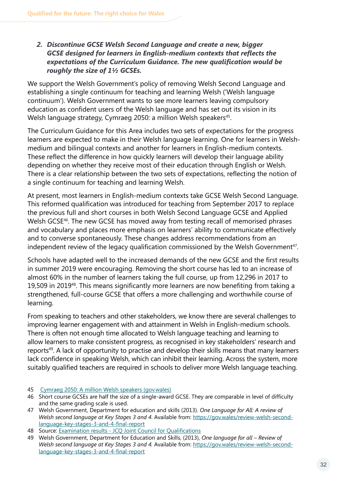#### *2. Discontinue GCSE Welsh Second Language and create a new, bigger GCSE designed for learners in English-medium contexts that reflects the expectations of the Curriculum Guidance. The new qualification would be roughly the size of 1½ GCSEs.*

We support the Welsh Government's policy of removing Welsh Second Language and establishing a single continuum for teaching and learning Welsh ('Welsh language continuum'). Welsh Government wants to see more learners leaving compulsory education as confident users of the Welsh language and has set out its vision in its Welsh language strategy, Cymraeg 2050: a million Welsh speakers<sup>45</sup>.

The Curriculum Guidance for this Area includes two sets of expectations for the progress learners are expected to make in their Welsh language learning. One for learners in Welshmedium and bilingual contexts and another for learners in English-medium contexts. These reflect the difference in how quickly learners will develop their language ability depending on whether they receive most of their education through English or Welsh. There is a clear relationship between the two sets of expectations, reflecting the notion of a single continuum for teaching and learning Welsh.

At present, most learners in English-medium contexts take GCSE Welsh Second Language. This reformed qualification was introduced for teaching from September 2017 to replace the previous full and short courses in both Welsh Second Language GCSE and Applied Welsh GCSE<sup>46</sup>. The new GCSE has moved away from testing recall of memorised phrases and vocabulary and places more emphasis on learners' ability to communicate effectively and to converse spontaneously. These changes address recommendations from an independent review of the legacy qualification commissioned by the Welsh Government $47$ .

Schools have adapted well to the increased demands of the new GCSE and the first results in summer 2019 were encouraging. Removing the short course has led to an increase of almost 60% in the number of learners taking the full course, up from 12,296 in 2017 to 19,509 in 201948. This means significantly more learners are now benefiting from taking a strengthened, full-course GCSE that offers a more challenging and worthwhile course of learning.

From speaking to teachers and other stakeholders, we know there are several challenges to improving learner engagement with and attainment in Welsh in English-medium schools. There is often not enough time allocated to Welsh language teaching and learning to allow learners to make consistent progress, as recognised in key stakeholders' research and reports<sup>49</sup>. A lack of opportunity to practise and develop their skills means that many learners lack confidence in speaking Welsh, which can inhibit their learning. Across the system, more suitably qualified teachers are required in schools to deliver more Welsh language teaching.

48 Source: Examination results - JCQ [Joint Council for Qualifications](https://www.jcq.org.uk/examination-results/)

49 Welsh Government, Department for Education and Skills, (2013), *One language for all – Review of Welsh second language at Key Stages 3 and 4.* Available from: [https://gov.wales/review-welsh-second](https://gov.wales/review-welsh-second-language-key-stages-3-and-4-final-report)[language-key-stages-3-](https://gov.wales/review-welsh-second-language-key-stages-3-and-4-final-report)and-4-final-report

<sup>45</sup> [Cymraeg 2050: A million Welsh speakers \(gov.wales\)](https://gov.wales/sites/default/files/publications/2018-12/cymraeg-2050-welsh-language-strategy.pdf)

<sup>46</sup> Short course GCSEs are half the size of a single-award GCSE. They are comparable in level of difficulty and the same grading scale is used.

<sup>47</sup> Welsh Government, Department for education and skills (2013). *One Language for All: A review of Welsh second language at Key Stages 3 and 4*. Available from: [https://gov.wales/review-welsh-second](https://gov.wales/review-welsh-second-language-key-stages-3-and-4-final-report)language-key-stages[-3-and-4-final-report](https://gov.wales/review-welsh-second-language-key-stages-3-and-4-final-report)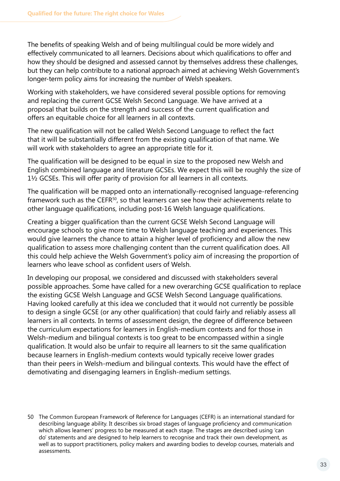The benefits of speaking Welsh and of being multilingual could be more widely and effectively communicated to all learners. Decisions about which qualifications to offer and how they should be designed and assessed cannot by themselves address these challenges, but they can help contribute to a national approach aimed at achieving Welsh Government's longer-term policy aims for increasing the number of Welsh speakers.

Working with stakeholders, we have considered several possible options for removing and replacing the current GCSE Welsh Second Language. We have arrived at a proposal that builds on the strength and success of the current qualification and offers an equitable choice for all learners in all contexts.

The new qualification will not be called Welsh Second Language to reflect the fact that it will be substantially different from the existing qualification of that name. We will work with stakeholders to agree an appropriate title for it.

The qualification will be designed to be equal in size to the proposed new Welsh and English combined language and literature GCSEs. We expect this will be roughly the size of 1½ GCSEs. This will offer parity of provision for all learners in all contexts.

The qualification will be mapped onto an internationally-recognised language-referencing framework such as the CEFR<sup>50</sup>, so that learners can see how their achievements relate to other language qualifications, including post-16 Welsh language qualifications.

Creating a bigger qualification than the current GCSE Welsh Second Language will encourage schools to give more time to Welsh language teaching and experiences. This would give learners the chance to attain a higher level of proficiency and allow the new qualification to assess more challenging content than the current qualification does. All this could help achieve the Welsh Government's policy aim of increasing the proportion of learners who leave school as confident users of Welsh.

In developing our proposal, we considered and discussed with stakeholders several possible approaches. Some have called for a new overarching GCSE qualification to replace the existing GCSE Welsh Language and GCSE Welsh Second Language qualifications. Having looked carefully at this idea we concluded that it would not currently be possible to design a single GCSE (or any other qualification) that could fairly and reliably assess all learners in all contexts. In terms of assessment design, the degree of difference between the curriculum expectations for learners in English-medium contexts and for those in Welsh-medium and bilingual contexts is too great to be encompassed within a single qualification. It would also be unfair to require all learners to sit the same qualification because learners in English-medium contexts would typically receive lower grades than their peers in Welsh-medium and bilingual contexts. This would have the effect of demotivating and disengaging learners in English-medium settings.

<sup>50</sup> The Common European Framework of Reference for Languages (CEFR) is an international standard for describing language ability. It describes six broad stages of language proficiency and communication which allows learners' progress to be measured at each stage. The stages are described using 'can do' statements and are designed to help learners to recognise and track their own development, as well as to support practitioners, policy makers and awarding bodies to develop courses, materials and assessments.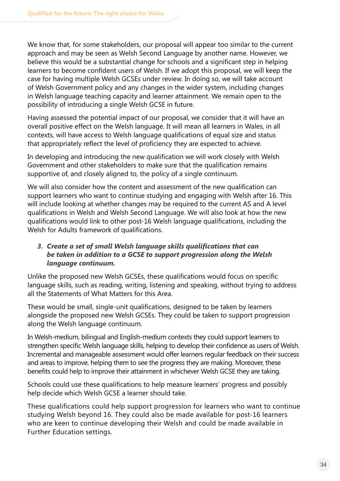We know that, for some stakeholders, our proposal will appear too similar to the current approach and may be seen as Welsh Second Language by another name. However, we believe this would be a substantial change for schools and a significant step in helping learners to become confident users of Welsh. If we adopt this proposal, we will keep the case for having multiple Welsh GCSEs under review. In doing so, we will take account of Welsh Government policy and any changes in the wider system, including changes in Welsh language teaching capacity and learner attainment. We remain open to the possibility of introducing a single Welsh GCSE in future.

Having assessed the potential impact of our proposal, we consider that it will have an overall positive effect on the Welsh language. It will mean all learners in Wales, in all contexts, will have access to Welsh language qualifications of equal size and status that appropriately reflect the level of proficiency they are expected to achieve.

In developing and introducing the new qualification we will work closely with Welsh Government and other stakeholders to make sure that the qualification remains supportive of, and closely aligned to, the policy of a single continuum.

We will also consider how the content and assessment of the new qualification can support learners who want to continue studying and engaging with Welsh after 16. This will include looking at whether changes may be required to the current AS and A level qualifications in Welsh and Welsh Second Language. We will also look at how the new qualifications would link to other post-16 Welsh language qualifications, including the Welsh for Adults framework of qualifications.

#### *3. Create a set of small Welsh language skills qualifications that can be taken in addition to a GCSE to support progression along the Welsh language continuum.*

Unlike the proposed new Welsh GCSEs, these qualifications would focus on specific language skills, such as reading, writing, listening and speaking, without trying to address all the Statements of What Matters for this Area.

These would be small, single-unit qualifications, designed to be taken by learners alongside the proposed new Welsh GCSEs. They could be taken to support progression along the Welsh language continuum.

In Welsh-medium, bilingual and English-medium contexts they could support learners to strengthen specific Welsh language skills, helping to develop their confidence as users of Welsh. Incremental and manageable assessment would offer learners regular feedback on their success and areas to improve, helping them to see the progress they are making. Moreover, these benefits could help to improve their attainment in whichever Welsh GCSE they are taking.

Schools could use these qualifications to help measure learners' progress and possibly help decide which Welsh GCSE a learner should take.

These qualifications could help support progression for learners who want to continue studying Welsh beyond 16. They could also be made available for post-16 learners who are keen to continue developing their Welsh and could be made available in Further Education settings.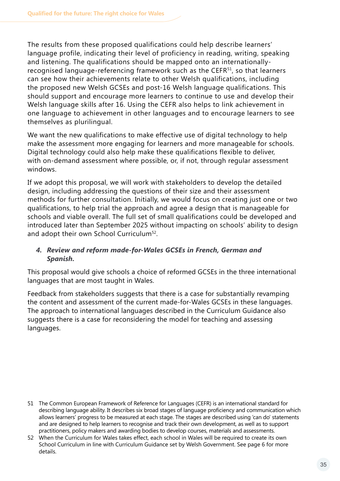The results from these proposed qualifications could help describe learners' language profile, indicating their level of proficiency in reading, writing, speaking and listening. The qualifications should be mapped onto an internationallyrecognised language-referencing framework such as the CEFR<sup>51</sup>, so that learners can see how their achievements relate to other Welsh qualifications, including the proposed new Welsh GCSEs and post-16 Welsh language qualifications. This should support and encourage more learners to continue to use and develop their Welsh language skills after 16. Using the CEFR also helps to link achievement in one language to achievement in other languages and to encourage learners to see themselves as plurilingual.

We want the new qualifications to make effective use of digital technology to help make the assessment more engaging for learners and more manageable for schools. Digital technology could also help make these qualifications flexible to deliver, with on-demand assessment where possible, or, if not, through regular assessment windows.

If we adopt this proposal, we will work with stakeholders to develop the detailed design, including addressing the questions of their size and their assessment methods for further consultation. Initially, we would focus on creating just one or two qualifications, to help trial the approach and agree a design that is manageable for schools and viable overall. The full set of small qualifications could be developed and introduced later than September 2025 without impacting on schools' ability to design and adopt their own School Curriculum<sup>52</sup>.

#### *4. Review and reform made-for-Wales GCSEs in French, German and Spanish.*

This proposal would give schools a choice of reformed GCSEs in the three international languages that are most taught in Wales.

Feedback from stakeholders suggests that there is a case for substantially revamping the content and assessment of the current made-for-Wales GCSEs in these languages. The approach to international languages described in the Curriculum Guidance also suggests there is a case for reconsidering the model for teaching and assessing languages.

- 51 The Common European Framework of Reference for Languages (CEFR) is an international standard for describing language ability. It describes six broad stages of language proficiency and communication which allows learners' progress to be measured at each stage. The stages are described using 'can do' statements and are designed to help learners to recognise and track their own development, as well as to support practitioners, policy makers and awarding bodies to develop courses, materials and assessments.
- 52 When the Curriculum for Wales takes effect, each school in Wales will be required to create its own School Curriculum in line with Curriculum Guidance set by Welsh Government. See page 6 for more details.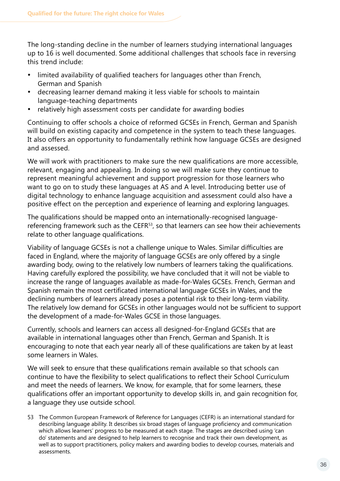The long-standing decline in the number of learners studying international languages up to 16 is well documented. Some additional challenges that schools face in reversing this trend include:

- limited availability of qualified teachers for languages other than French, German and Spanish
- · decreasing learner demand making it less viable for schools to maintain language-teaching departments
- relatively high assessment costs per candidate for awarding bodies

Continuing to offer schools a choice of reformed GCSEs in French, German and Spanish will build on existing capacity and competence in the system to teach these languages. It also offers an opportunity to fundamentally rethink how language GCSEs are designed and assessed.

We will work with practitioners to make sure the new qualifications are more accessible, relevant, engaging and appealing. In doing so we will make sure they continue to represent meaningful achievement and support progression for those learners who want to go on to study these languages at AS and A level. Introducing better use of digital technology to enhance language acquisition and assessment could also have a positive effect on the perception and experience of learning and exploring languages.

The qualifications should be mapped onto an internationally-recognised languagereferencing framework such as the CEFR<sup>53</sup>, so that learners can see how their achievements relate to other language qualifications.

Viability of language GCSEs is not a challenge unique to Wales. Similar difficulties are faced in England, where the majority of language GCSEs are only offered by a single awarding body, owing to the relatively low numbers of learners taking the qualifications. Having carefully explored the possibility, we have concluded that it will not be viable to increase the range of languages available as made-for-Wales GCSEs. French, German and Spanish remain the most certificated international language GCSEs in Wales, and the declining numbers of learners already poses a potential risk to their long-term viability. The relatively low demand for GCSEs in other languages would not be sufficient to support the development of a made-for-Wales GCSE in those languages.

Currently, schools and learners can access all designed-for-England GCSEs that are available in international languages other than French, German and Spanish. It is encouraging to note that each year nearly all of these qualifications are taken by at least some learners in Wales.

We will seek to ensure that these qualifications remain available so that schools can continue to have the flexibility to select qualifications to reflect their School Curriculum and meet the needs of learners. We know, for example, that for some learners, these qualifications offer an important opportunity to develop skills in, and gain recognition for, a language they use outside school.

53 The Common European Framework of Reference for Languages (CEFR) is an international standard for describing language ability. It describes six broad stages of language proficiency and communication which allows learners' progress to be measured at each stage. The stages are described using 'can do' statements and are designed to help learners to recognise and track their own development, as well as to support practitioners, policy makers and awarding bodies to develop courses, materials and assessments.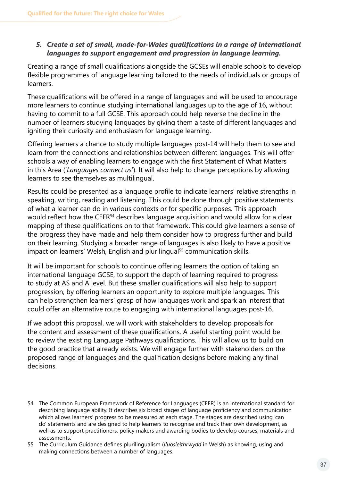#### *5. Create a set of small, made-for-Wales qualifications in a range of international languages to support engagement and progression in language learning.*

Creating a range of small qualifications alongside the GCSEs will enable schools to develop flexible programmes of language learning tailored to the needs of individuals or groups of learners.

These qualifications will be offered in a range of languages and will be used to encourage more learners to continue studying international languages up to the age of 16, without having to commit to a full GCSE. This approach could help reverse the decline in the number of learners studying languages by giving them a taste of different languages and igniting their curiosity and enthusiasm for language learning.

Offering learners a chance to study multiple languages post-14 will help them to see and learn from the connections and relationships between different languages. This will offer schools a way of enabling learners to engage with the first Statement of What Matters in this Area ('*Languages connect us*'). It will also help to change perceptions by allowing learners to see themselves as multilingual.

Results could be presented as a language profile to indicate learners' relative strengths in speaking, writing, reading and listening. This could be done through positive statements of what a learner can do in various contexts or for specific purposes. This approach would reflect how the CEFR<sup>54</sup> describes language acquisition and would allow for a clear mapping of these qualifications on to that framework. This could give learners a sense of the progress they have made and help them consider how to progress further and build on their learning. Studying a broader range of languages is also likely to have a positive impact on learners' Welsh, English and plurilingual<sup>55</sup> communication skills.

It will be important for schools to continue offering learners the option of taking an international language GCSE, to support the depth of learning required to progress to study at AS and A level. But these smaller qualifications will also help to support progression, by offering learners an opportunity to explore multiple languages. This can help strengthen learners' grasp of how languages work and spark an interest that could offer an alternative route to engaging with international languages post-16.

If we adopt this proposal, we will work with stakeholders to develop proposals for the content and assessment of these qualifications. A useful starting point would be to review the existing Language Pathways qualifications. This will allow us to build on the good practice that already exists. We will engage further with stakeholders on the proposed range of languages and the qualification designs before making any final decisions.

<sup>54</sup> The Common European Framework of Reference for Languages (CEFR) is an international standard for describing language ability. It describes six broad stages of language proficiency and communication which allows learners' progress to be measured at each stage. The stages are described using 'can do' statements and are designed to help learners to recognise and track their own development, as well as to support practitioners, policy makers and awarding bodies to develop courses, materials and assessments.

<sup>55</sup> The Curriculum Guidance defines plurilingualism (*lluosieithrwydd* in Welsh) as knowing, using and making connections between a number of languages.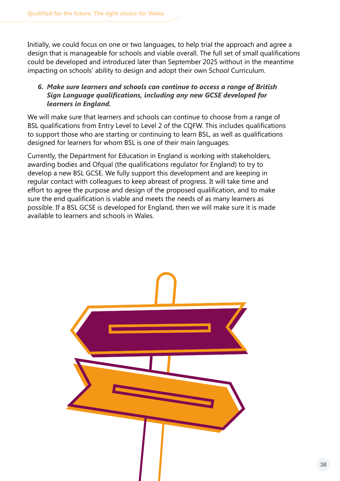Initially, we could focus on one or two languages, to help trial the approach and agree a design that is manageable for schools and viable overall. The full set of small qualifications could be developed and introduced later than September 2025 without in the meantime impacting on schools' ability to design and adopt their own School Curriculum.

#### *6. Make sure learners and schools can continue to access a range of British Sign Language qualifications, including any new GCSE developed for learners in England.*

We will make sure that learners and schools can continue to choose from a range of BSL qualifications from Entry Level to Level 2 of the CQFW. This includes qualifications to support those who are starting or continuing to learn BSL, as well as qualifications designed for learners for whom BSL is one of their main languages.

Currently, the Department for Education in England is working with stakeholders, awarding bodies and Ofqual (the qualifications regulator for England) to try to develop a new BSL GCSE. We fully support this development and are keeping in regular contact with colleagues to keep abreast of progress. It will take time and effort to agree the purpose and design of the proposed qualification, and to make sure the end qualification is viable and meets the needs of as many learners as possible. If a BSL GCSE is developed for England, then we will make sure it is made available to learners and schools in Wales.

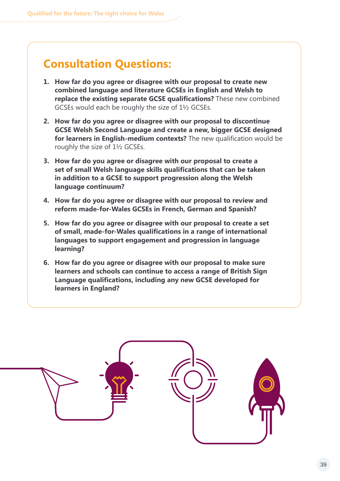### **Consultation Questions:**

- **1. How far do you agree or disagree with our proposal to create new combined language and literature GCSEs in English and Welsh to replace the existing separate GCSE qualifications?** These new combined GCSEs would each be roughly the size of 1½ GCSEs.
- **2. How far do you agree or disagree with our proposal to discontinue GCSE Welsh Second Language and create a new, bigger GCSE designed for learners in English-medium contexts?** The new qualification would be roughly the size of 1½ GCSEs.
- **3. How far do you agree or disagree with our proposal to create a set of small Welsh language skills qualifications that can be taken in addition to a GCSE to support progression along the Welsh language continuum?**
- **4. How far do you agree or disagree with our proposal to review and reform made-for-Wales GCSEs in French, German and Spanish?**
- **5. How far do you agree or disagree with our proposal to create a set of small, made-for-Wales qualifications in a range of international languages to support engagement and progression in language learning?**
- **6. How far do you agree or disagree with our proposal to make sure learners and schools can continue to access a range of British Sign Language qualifications, including any new GCSE developed for learners in England?**

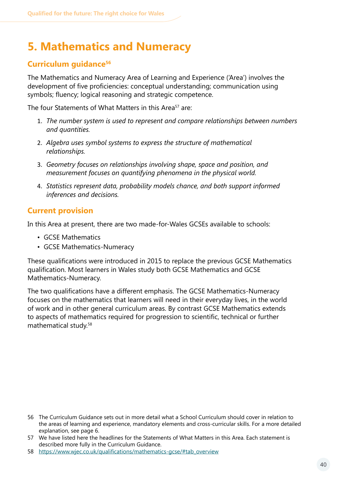### <span id="page-39-0"></span>**5. Mathematics and Numeracy**

### **Curriculum guidance56**

The Mathematics and Numeracy Area of Learning and Experience ('Area') involves the development of five proficiencies: conceptual understanding; communication using symbols; fluency; logical reasoning and strategic competence.

The four Statements of What Matters in this Area<sup>57</sup> are:

- 1. *The number system is used to represent and compare relationships between numbers and quantities.*
- 2. *Algebra uses symbol systems to express the structure of mathematical relationships.*
- 3. *Geometry focuses on relationships involving shape, space and position, and measurement focuses on quantifying phenomena in the physical world.*
- 4. *Statistics represent data, probability models chance, and both support informed inferences and decisions.*

### **Current provision**

In this Area at present, there are two made-for-Wales GCSEs available to schools:

- GCSE Mathematics
- GCSE Mathematics-Numeracy

These qualifications were introduced in 2015 to replace the previous GCSE Mathematics qualification. Most learners in Wales study both GCSE Mathematics and GCSE Mathematics-Numeracy.

The two qualifications have a different emphasis. The GCSE Mathematics-Numeracy focuses on the mathematics that learners will need in their everyday lives, in the world of work and in other general curriculum areas. By contrast GCSE Mathematics extends to aspects of mathematics required for progression to scientific, technical or further mathematical study.58

<sup>56</sup> The Curriculum Guidance sets out in more detail what a School Curriculum should cover in relation to the areas of learning and experience, mandatory elements and cross-curricular skills. For a more detailed explanation, see page 6.

<sup>57</sup> We have listed here the headlines for the Statements of What Matters in this Area. Each statement is described more fully in the Curriculum Guidance.

<sup>58</sup> https://www.wjec.co.uk/qualifications/mathematics-gcse/#tab\_overview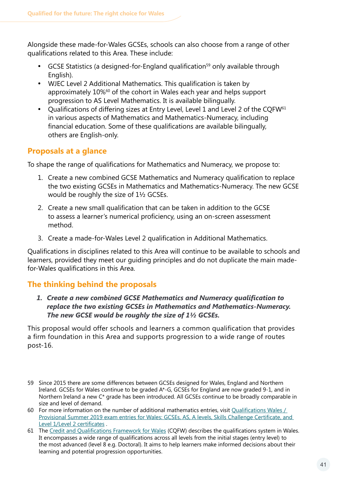Alongside these made-for-Wales GCSEs, schools can also choose from a range of other qualifications related to this Area. These include:

- GCSE Statistics (a designed-for-England qualification<sup>59</sup> only available through English).
- WJEC Level 2 Additional Mathematics. This qualification is taken by approximately 10%60 of the cohort in Wales each year and helps support progression to AS Level Mathematics. It is available bilingually.
- Qualifications of differing sizes at Entry Level, Level 1 and Level 2 of the CQFW $61$ in various aspects of Mathematics and Mathematics-Numeracy, including financial education. Some of these qualifications are available bilingually, others are English-only.

### **Proposals at a glance**

To shape the range of qualifications for Mathematics and Numeracy, we propose to:

- 1. Create a new combined GCSE Mathematics and Numeracy qualification to replace the two existing GCSEs in Mathematics and Mathematics-Numeracy. The new GCSE would be roughly the size of 1½ GCSEs.
- 2. Create a new small qualification that can be taken in addition to the GCSE to assess a learner's numerical proficiency, using an on-screen assessment method.
- 3. Create a made-for-Wales Level 2 qualification in Additional Mathematics.

Qualifications in disciplines related to this Area will continue to be available to schools and learners, provided they meet our guiding principles and do not duplicate the main madefor-Wales qualifications in this Area.

### **The thinking behind the proposals**

#### *1. Create a new combined GCSE Mathematics and Numeracy qualification to replace the two existing GCSEs in Mathematics and Mathematics-Numeracy. The new GCSE would be roughly the size of 1½ GCSEs.*

This proposal would offer schools and learners a common qualification that provides a firm foundation in this Area and supports progression to a wide range of routes post-16.

- 59 Since 2015 there are some differences between GCSEs designed for Wales, England and Northern Ireland. GCSEs for Wales continue to be graded A\*-G, GCSEs for England are now graded 9-1, and in Northern Ireland a new C\* grade has been introduced. All GCSEs continue to be broadly comparable in size and level of demand.
- 60 For more information on the number of additional mathematics entries, visit Qualifications Wales / Provisional Summer 2019 exam entries for [Wales: GCSEs, AS, A levels, Skills Challenge Certificate, and](https://qualificationswales.org/english/publications/provisional-summer-entries/)  Level [1/Level 2 certificates](https://qualificationswales.org/english/publications/provisional-summer-entries/) .
- 61 The [Credit and Qualifications Framework for](https://gov.wales/credit-and-qualifications-framework-cqfw-overview) Wales (CQFW) describes the qualifications system in Wales. It encompasses a wide range of qualifications across all levels from the initial stages (entry level) to the most advanced (level 8 e.g. Doctoral). It aims to help learners make informed decisions about their learning and potential progression opportunities.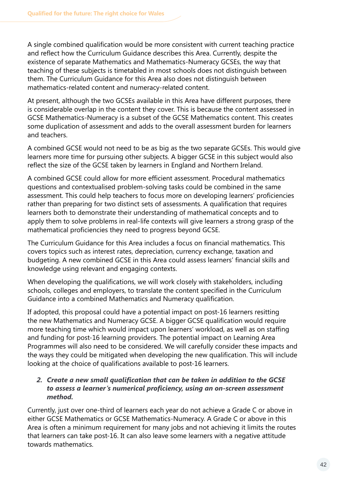A single combined qualification would be more consistent with current teaching practice and reflect how the Curriculum Guidance describes this Area. Currently, despite the existence of separate Mathematics and Mathematics-Numeracy GCSEs, the way that teaching of these subjects is timetabled in most schools does not distinguish between them. The Curriculum Guidance for this Area also does not distinguish between mathematics-related content and numeracy-related content.

At present, although the two GCSEs available in this Area have different purposes, there is considerable overlap in the content they cover. This is because the content assessed in GCSE Mathematics-Numeracy is a subset of the GCSE Mathematics content. This creates some duplication of assessment and adds to the overall assessment burden for learners and teachers.

A combined GCSE would not need to be as big as the two separate GCSEs. This would give learners more time for pursuing other subjects. A bigger GCSE in this subject would also reflect the size of the GCSE taken by learners in England and Northern Ireland.

A combined GCSE could allow for more efficient assessment. Procedural mathematics questions and contextualised problem-solving tasks could be combined in the same assessment. This could help teachers to focus more on developing learners' proficiencies rather than preparing for two distinct sets of assessments. A qualification that requires learners both to demonstrate their understanding of mathematical concepts and to apply them to solve problems in real-life contexts will give learners a strong grasp of the mathematical proficiencies they need to progress beyond GCSE.

The Curriculum Guidance for this Area includes a focus on financial mathematics. This covers topics such as interest rates, depreciation, currency exchange, taxation and budgeting. A new combined GCSE in this Area could assess learners' financial skills and knowledge using relevant and engaging contexts.

When developing the qualifications, we will work closely with stakeholders, including schools, colleges and employers, to translate the content specified in the Curriculum Guidance into a combined Mathematics and Numeracy qualification.

If adopted, this proposal could have a potential impact on post-16 learners resitting the new Mathematics and Numeracy GCSE. A bigger GCSE qualification would require more teaching time which would impact upon learners' workload, as well as on staffing and funding for post-16 learning providers. The potential impact on Learning Area Programmes will also need to be considered. We will carefully consider these impacts and the ways they could be mitigated when developing the new qualification. This will include looking at the choice of qualifications available to post-16 learners.

#### *2. Create a new small qualification that can be taken in addition to the GCSE to assess a learner's numerical proficiency, using an on-screen assessment method.*

Currently, just over one-third of learners each year do not achieve a Grade C or above in either GCSE Mathematics or GCSE Mathematics-Numeracy. A Grade C or above in this Area is often a minimum requirement for many jobs and not achieving it limits the routes that learners can take post-16. It can also leave some learners with a negative attitude towards mathematics.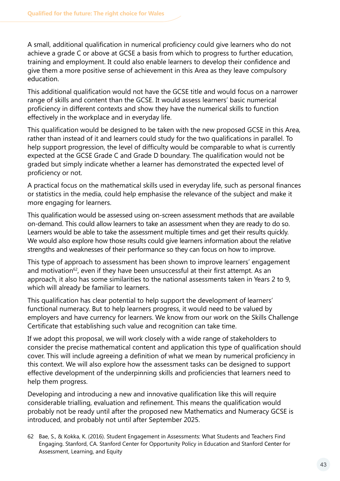A small, additional qualification in numerical proficiency could give learners who do not achieve a grade C or above at GCSE a basis from which to progress to further education, training and employment. It could also enable learners to develop their confidence and give them a more positive sense of achievement in this Area as they leave compulsory education.

This additional qualification would not have the GCSE title and would focus on a narrower range of skills and content than the GCSE. It would assess learners' basic numerical proficiency in different contexts and show they have the numerical skills to function effectively in the workplace and in everyday life.

This qualification would be designed to be taken with the new proposed GCSE in this Area, rather than instead of it and learners could study for the two qualifications in parallel. To help support progression, the level of difficulty would be comparable to what is currently expected at the GCSE Grade C and Grade D boundary. The qualification would not be graded but simply indicate whether a learner has demonstrated the expected level of proficiency or not.

A practical focus on the mathematical skills used in everyday life, such as personal finances or statistics in the media, could help emphasise the relevance of the subject and make it more engaging for learners.

This qualification would be assessed using on-screen assessment methods that are available on-demand. This could allow learners to take an assessment when they are ready to do so. Learners would be able to take the assessment multiple times and get their results quickly. We would also explore how those results could give learners information about the relative strengths and weaknesses of their performance so they can focus on how to improve.

This type of approach to assessment has been shown to improve learners' engagement and motivation $62$ , even if they have been unsuccessful at their first attempt. As an approach, it also has some similarities to the national assessments taken in Years 2 to 9, which will already be familiar to learners.

This qualification has clear potential to help support the development of learners' functional numeracy. But to help learners progress, it would need to be valued by employers and have currency for learners. We know from our work on the Skills Challenge Certificate that establishing such value and recognition can take time.

If we adopt this proposal, we will work closely with a wide range of stakeholders to consider the precise mathematical content and application this type of qualification should cover. This will include agreeing a definition of what we mean by numerical proficiency in this context. We will also explore how the assessment tasks can be designed to support effective development of the underpinning skills and proficiencies that learners need to help them progress.

Developing and introducing a new and innovative qualification like this will require considerable trialling, evaluation and refinement. This means the qualification would probably not be ready until after the proposed new Mathematics and Numeracy GCSE is introduced, and probably not until after September 2025.

62 Bae, S., & Kokka, K. (2016). Student Engagement in Assessments: What Students and Teachers Find Engaging. Stanford, CA. Stanford Center for Opportunity Policy in Education and Stanford Center for Assessment, Learning, and Equity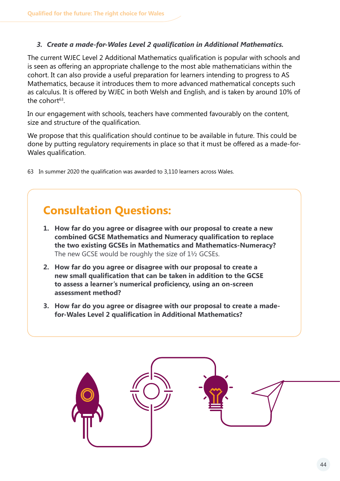#### *3. Create a made-for-Wales Level 2 qualification in Additional Mathematics.*

The current WJEC Level 2 Additional Mathematics qualification is popular with schools and is seen as offering an appropriate challenge to the most able mathematicians within the cohort. It can also provide a useful preparation for learners intending to progress to AS Mathematics, because it introduces them to more advanced mathematical concepts such as calculus. It is offered by WJEC in both Welsh and English, and is taken by around 10% of the cohort $63$ .

In our engagement with schools, teachers have commented favourably on the content, size and structure of the qualification.

We propose that this qualification should continue to be available in future. This could be done by putting regulatory requirements in place so that it must be offered as a made-for-Wales qualification.

63 In summer 2020 the qualification was awarded to 3,110 learners across Wales.

### **Consultation Questions:**

- **1. How far do you agree or disagree with our proposal to create a new combined GCSE Mathematics and Numeracy qualification to replace the two existing GCSEs in Mathematics and Mathematics-Numeracy?**  The new GCSE would be roughly the size of 1½ GCSEs.
- **2. How far do you agree or disagree with our proposal to create a new small qualification that can be taken in addition to the GCSE to assess a learner's numerical proficiency, using an on-screen assessment method?**
- **3. How far do you agree or disagree with our proposal to create a madefor-Wales Level 2 qualification in Additional Mathematics?**

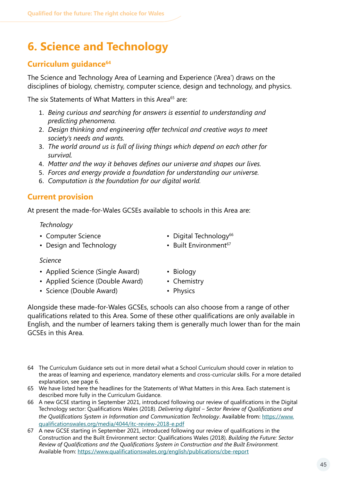### <span id="page-44-0"></span>**6. Science and Technology**

### **Curriculum guidance64**

The Science and Technology Area of Learning and Experience ('Area') draws on the disciplines of biology, chemistry, computer science, design and technology, and physics.

The six Statements of What Matters in this Area<sup>65</sup> are:

- 1. *Being curious and searching for answers is essential to understanding and predicting phenomena.*
- 2. *Design thinking and engineering offer technical and creative ways to meet society's needs and wants.*
- 3. *The world around us is full of living things which depend on each other for survival.*
- 4. *Matter and the way it behaves defines our universe and shapes our lives.*
- 5. *Forces and energy provide a foundation for understanding our universe.*
- 6. *Computation is the foundation for our digital world.*

### **Current provision**

At present the made-for-Wales GCSEs available to schools in this Area are:

#### *Technology*

- 
- Design and Technology Built Environment<sup>67</sup>
- Computer Science Digital Technology<sup>66</sup>
	-

#### *Science*

- Applied Science (Single Award) Biology
- Applied Science (Double Award) Chemistry
- Science (Double Award) Physics
- 
- -

Alongside these made-for-Wales GCSEs, schools can also choose from a range of other qualifications related to this Area. Some of these other qualifications are only available in English, and the number of learners taking them is generally much lower than for the main GCSEs in this Area.

- 64 The Curriculum Guidance sets out in more detail what a School Curriculum should cover in relation to the areas of learning and experience, mandatory elements and cross-curricular skills. For a more detailed explanation, see page 6.
- 65 We have listed here the headlines for the Statements of What Matters in this Area. Each statement is described more fully in the Curriculum Guidance.
- 66 A new GCSE starting in September 2021, introduced following our review of qualifications in the Digital Technology sector: Qualifications Wales (2018). *Delivering digital – Sector Review of Qualifications and the Qualifications System in Information and Communication Technology*. Available from: [https://www.](https://www.qualificationswales.org/media/4044/itc-review-2018-e.pdf) [qualificationswales.org/media/4044/itc-review-2018-e.pdf](https://www.qualificationswales.org/media/4044/itc-review-2018-e.pdf)
- 67 A new GCSE starting in September 2021, introduced following our review of qualifications in the Construction and the Built Environment sector: Qualifications Wales (2018). *Building the Future: Sector Review of Qualifications and the Qualifications System in Construction and the Built Environment.*  Available from: <https://www.qualificationswales.org/english/publications/cbe-report>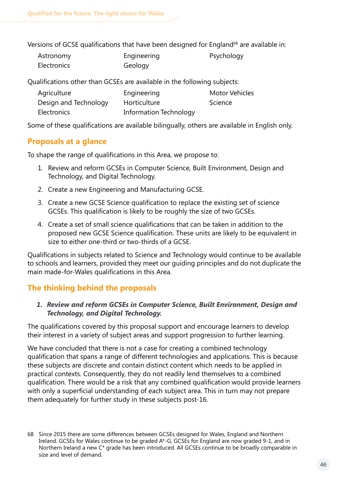Versions of GCSE qualifications that have been designed for England<sup>68</sup> are available in:

| Astronomy          | Engineering | Psychology |
|--------------------|-------------|------------|
| <b>Electronics</b> | Geology     |            |

Qualifications other than GCSEs are available in the following subjects:

| Agriculture           | Engineering                   | <b>Motor Vehicles</b> |
|-----------------------|-------------------------------|-----------------------|
| Design and Technology | Horticulture                  | Science               |
| Electronics           | <b>Information Technology</b> |                       |

Some of these qualifications are available bilingually, others are available in English only.

### **Proposals at a glance**

To shape the range of qualifications in this Area, we propose to:

- 1. Review and reform GCSEs in Computer Science, Built Environment, Design and Technology, and Digital Technology.
- 2. Create a new Engineering and Manufacturing GCSE.
- 3. Create a new GCSE Science qualification to replace the existing set of science GCSEs. This qualification is likely to be roughly the size of two GCSEs.
- 4. Create a set of small science qualifications that can be taken in addition to the proposed new GCSE Science qualification. These units are likely to be equivalent in size to either one-third or two-thirds of a GCSE.

Qualifications in subjects related to Science and Technology would continue to be available to schools and learners, provided they meet our guiding principles and do not duplicate the main made-for-Wales qualifications in this Area.

### **The thinking behind the proposals**

#### *1. Review and reform GCSEs in Computer Science, Built Environment, Design and Technology, and Digital Technology.*

The qualifications covered by this proposal support and encourage learners to develop their interest in a variety of subject areas and support progression to further learning.

We have concluded that there is not a case for creating a combined technology qualification that spans a range of different technologies and applications. This is because these subjects are discrete and contain distinct content which needs to be applied in practical contexts. Consequently, they do not readily lend themselves to a combined qualification. There would be a risk that any combined qualification would provide learners with only a superficial understanding of each subject area. This in turn may not prepare them adequately for further study in these subjects post-16.

<sup>68</sup> Since 2015 there are some differences between GCSEs designed for Wales, England and Northern Ireland. GCSEs for Wales continue to be graded A\*-G, GCSEs for England are now graded 9-1, and in Northern Ireland a new C\* grade has been introduced. All GCSEs continue to be broadly comparable in size and level of demand.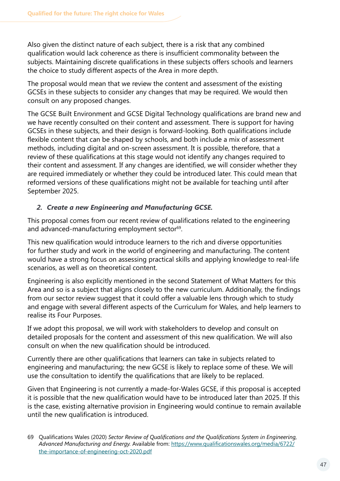Also given the distinct nature of each subject, there is a risk that any combined qualification would lack coherence as there is insufficient commonality between the subjects. Maintaining discrete qualifications in these subjects offers schools and learners the choice to study different aspects of the Area in more depth.

The proposal would mean that we review the content and assessment of the existing GCSEs in these subjects to consider any changes that may be required. We would then consult on any proposed changes.

The GCSE Built Environment and GCSE Digital Technology qualifications are brand new and we have recently consulted on their content and assessment. There is support for having GCSEs in these subjects, and their design is forward-looking. Both qualifications include flexible content that can be shaped by schools, and both include a mix of assessment methods, including digital and on-screen assessment. It is possible, therefore, that a review of these qualifications at this stage would not identify any changes required to their content and assessment. If any changes are identified, we will consider whether they are required immediately or whether they could be introduced later. This could mean that reformed versions of these qualifications might not be available for teaching until after September 2025.

### *2. Create a new Engineering and Manufacturing GCSE.*

This proposal comes from our recent review of qualifications related to the engineering and advanced-manufacturing employment sector<sup>69</sup>.

This new qualification would introduce learners to the rich and diverse opportunities for further study and work in the world of engineering and manufacturing. The content would have a strong focus on assessing practical skills and applying knowledge to real-life scenarios, as well as on theoretical content.

Engineering is also explicitly mentioned in the second Statement of What Matters for this Area and so is a subject that aligns closely to the new curriculum. Additionally, the findings from our sector review suggest that it could offer a valuable lens through which to study and engage with several different aspects of the Curriculum for Wales, and help learners to realise its Four Purposes.

If we adopt this proposal, we will work with stakeholders to develop and consult on detailed proposals for the content and assessment of this new qualification. We will also consult on when the new qualification should be introduced.

Currently there are other qualifications that learners can take in subjects related to engineering and manufacturing; the new GCSE is likely to replace some of these. We will use the consultation to identify the qualifications that are likely to be replaced.

Given that Engineering is not currently a made-for-Wales GCSE, if this proposal is accepted it is possible that the new qualification would have to be introduced later than 2025. If this is the case, existing alternative provision in Engineering would continue to remain available until the new qualification is introduced.

<sup>69</sup> Qualifications Wales (2020) *Sector Review of Qualifications and the Qualifications System in Engineering, Advanced Manufacturing and Energy.* Available from: https://www.[qualificationswales.org/media/6722/](https://www.qualificationswales.org/media/6722/the-importance-of-engineering-oct-2020.pdf) [the-importance-of-engineering-oct-2020.pdf](https://www.qualificationswales.org/media/6722/the-importance-of-engineering-oct-2020.pdf)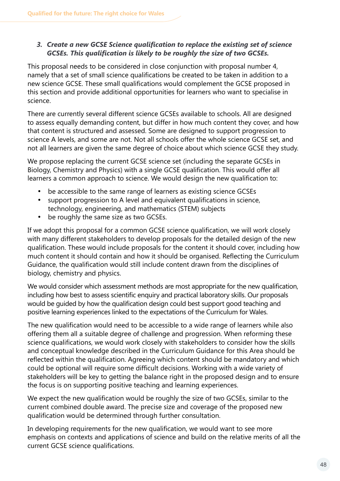#### *3. Create a new GCSE Science qualification to replace the existing set of science GCSEs. This qualification is likely to be roughly the size of two GCSEs.*

This proposal needs to be considered in close conjunction with proposal number 4, namely that a set of small science qualifications be created to be taken in addition to a new science GCSE. These small qualifications would complement the GCSE proposed in this section and provide additional opportunities for learners who want to specialise in science.

There are currently several different science GCSEs available to schools. All are designed to assess equally demanding content, but differ in how much content they cover, and how that content is structured and assessed. Some are designed to support progression to science A levels, and some are not. Not all schools offer the whole science GCSE set, and not all learners are given the same degree of choice about which science GCSE they study.

We propose replacing the current GCSE science set (including the separate GCSEs in Biology, Chemistry and Physics) with a single GCSE qualification. This would offer all learners a common approach to science. We would design the new qualification to:

- be accessible to the same range of learners as existing science GCSEs
- · support progression to A level and equivalent qualifications in science, technology, engineering, and mathematics (STEM) subjects
- be roughly the same size as two GCSEs.

If we adopt this proposal for a common GCSE science qualification, we will work closely with many different stakeholders to develop proposals for the detailed design of the new qualification. These would include proposals for the content it should cover, including how much content it should contain and how it should be organised. Reflecting the Curriculum Guidance, the qualification would still include content drawn from the disciplines of biology, chemistry and physics.

We would consider which assessment methods are most appropriate for the new qualification, including how best to assess scientific enquiry and practical laboratory skills. Our proposals would be guided by how the qualification design could best support good teaching and positive learning experiences linked to the expectations of the Curriculum for Wales.

The new qualification would need to be accessible to a wide range of learners while also offering them all a suitable degree of challenge and progression. When reforming these science qualifications, we would work closely with stakeholders to consider how the skills and conceptual knowledge described in the Curriculum Guidance for this Area should be reflected within the qualification. Agreeing which content should be mandatory and which could be optional will require some difficult decisions. Working with a wide variety of stakeholders will be key to getting the balance right in the proposed design and to ensure the focus is on supporting positive teaching and learning experiences.

We expect the new qualification would be roughly the size of two GCSEs, similar to the current combined double award. The precise size and coverage of the proposed new qualification would be determined through further consultation.

In developing requirements for the new qualification, we would want to see more emphasis on contexts and applications of science and build on the relative merits of all the current GCSE science qualifications.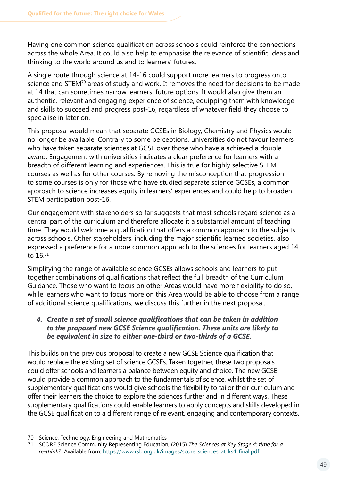Having one common science qualification across schools could reinforce the connections across the whole Area. It could also help to emphasise the relevance of scientific ideas and thinking to the world around us and to learners' futures.

A single route through science at 14-16 could support more learners to progress onto science and STEM<sup>70</sup> areas of study and work. It removes the need for decisions to be made at 14 that can sometimes narrow learners' future options. It would also give them an authentic, relevant and engaging experience of science, equipping them with knowledge and skills to succeed and progress post-16, regardless of whatever field they choose to specialise in later on.

This proposal would mean that separate GCSEs in Biology, Chemistry and Physics would no longer be available. Contrary to some perceptions, universities do not favour learners who have taken separate sciences at GCSE over those who have a achieved a double award. Engagement with universities indicates a clear preference for learners with a breadth of different learning and experiences. This is true for highly selective STEM courses as well as for other courses. By removing the misconception that progression to some courses is only for those who have studied separate science GCSEs, a common approach to science increases equity in learners' experiences and could help to broaden STEM participation post-16.

Our engagement with stakeholders so far suggests that most schools regard science as a central part of the curriculum and therefore allocate it a substantial amount of teaching time. They would welcome a qualification that offers a common approach to the subjects across schools. Other stakeholders, including the major scientific learned societies, also expressed a preference for a more common approach to the sciences for learners aged 14 to 16.71

Simplifying the range of available science GCSEs allows schools and learners to put together combinations of qualifications that reflect the full breadth of the Curriculum Guidance. Those who want to focus on other Areas would have more flexibility to do so, while learners who want to focus more on this Area would be able to choose from a range of additional science qualifications; we discuss this further in the next proposal.

#### *4. Create a set of small science qualifications that can be taken in addition to the proposed new GCSE Science qualification. These units are likely to be equivalent in size to either one-third or two-thirds of a GCSE.*

This builds on the previous proposal to create a new GCSE Science qualification that would replace the existing set of science GCSEs. Taken together, these two proposals could offer schools and learners a balance between equity and choice. The new GCSE would provide a common approach to the fundamentals of science, whilst the set of supplementary qualifications would give schools the flexibility to tailor their curriculum and offer their learners the choice to explore the sciences further and in different ways. These supplementary qualifications could enable learners to apply concepts and skills developed in the GCSE qualification to a different range of relevant, engaging and contemporary contexts.

<sup>70</sup> Science, Technology, Engineering and Mathematics

<sup>71</sup> SCORE Science Community Representing Education, (2015) *The Sciences at Key Stage 4: time for a*  re-think? Available from: [https://www.rsb.org.uk/images/score\\_sciences\\_at\\_ks4\\_final.pdf](https://www.rsb.org.uk/images/score_sciences_at_ks4_final.pdf)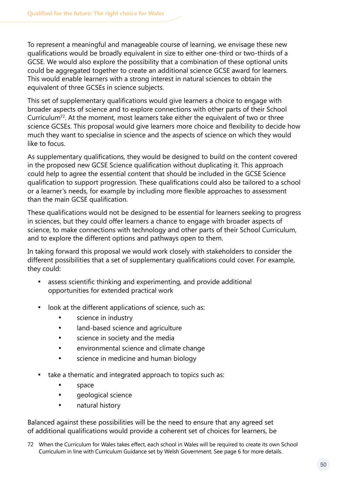To represent a meaningful and manageable course of learning, we envisage these new qualifications would be broadly equivalent in size to either one-third or two-thirds of a GCSE. We would also explore the possibility that a combination of these optional units could be aggregated together to create an additional science GCSE award for learners. This would enable learners with a strong interest in natural sciences to obtain the equivalent of three GCSEs in science subjects.

This set of supplementary qualifications would give learners a choice to engage with broader aspects of science and to explore connections with other parts of their School Curriculum72. At the moment, most learners take either the equivalent of two or three science GCSEs. This proposal would give learners more choice and flexibility to decide how much they want to specialise in science and the aspects of science on which they would like to focus.

As supplementary qualifications, they would be designed to build on the content covered in the proposed new GCSE Science qualification without duplicating it. This approach could help to agree the essential content that should be included in the GCSE Science qualification to support progression. These qualifications could also be tailored to a school or a learner's needs, for example by including more flexible approaches to assessment than the main GCSE qualification.

These qualifications would not be designed to be essential for learners seeking to progress in sciences, but they could offer learners a chance to engage with broader aspects of science, to make connections with technology and other parts of their School Curriculum, and to explore the different options and pathways open to them.

In taking forward this proposal we would work closely with stakeholders to consider the different possibilities that a set of supplementary qualifications could cover. For example, they could:

- · assess scientific thinking and experimenting, and provide additional opportunities for extended practical work
- look at the different applications of science, such as:
	- · science in industry
	- · land-based science and agriculture
	- · science in society and the media
	- · environmental science and climate change
	- science in medicine and human biology
- take a thematic and integrated approach to topics such as:
	- · space
	- · geological science
	- natural history

Balanced against these possibilities will be the need to ensure that any agreed set of additional qualifications would provide a coherent set of choices for learners, be

72 When the Curriculum for Wales takes effect, each school in Wales will be required to create its own School Curriculum in line with Curriculum Guidance set by Welsh Government. See page 6 for more details.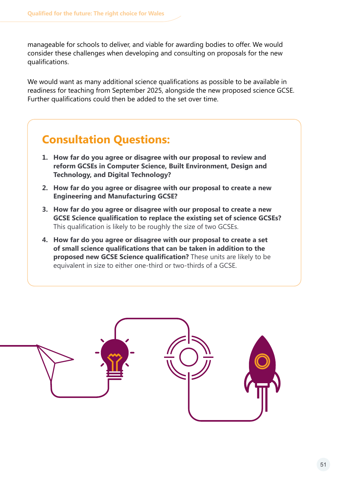manageable for schools to deliver, and viable for awarding bodies to offer. We would consider these challenges when developing and consulting on proposals for the new qualifications.

We would want as many additional science qualifications as possible to be available in readiness for teaching from September 2025, alongside the new proposed science GCSE. Further qualifications could then be added to the set over time.

### **Consultation Questions:**

- **1. How far do you agree or disagree with our proposal to review and reform GCSEs in Computer Science, Built Environment, Design and Technology, and Digital Technology?**
- **2. How far do you agree or disagree with our proposal to create a new Engineering and Manufacturing GCSE?**
- **3. How far do you agree or disagree with our proposal to create a new GCSE Science qualification to replace the existing set of science GCSEs?**  This qualification is likely to be roughly the size of two GCSEs.
- **4. How far do you agree or disagree with our proposal to create a set of small science qualifications that can be taken in addition to the proposed new GCSE Science qualification?** These units are likely to be equivalent in size to either one-third or two-thirds of a GCSE.

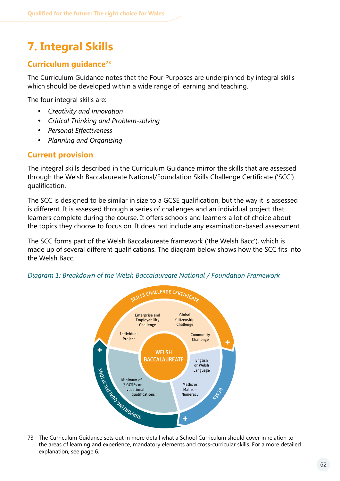### <span id="page-51-0"></span>**7. Integral Skills**

### **Curriculum guidance73**

The Curriculum Guidance notes that the Four Purposes are underpinned by integral skills which should be developed within a wide range of learning and teaching.

The four integral skills are:

- **Creativity and Innovation**
- · *Critical Thinking and Problem-solving*
- · *Personal Effectiveness*
- · *Planning and Organising*

### **Current provision**

The integral skills described in the Curriculum Guidance mirror the skills that are assessed through the Welsh Baccalaureate National/Foundation Skills Challenge Certificate ('SCC') qualification.

The SCC is designed to be similar in size to a GCSE qualification, but the way it is assessed is different. It is assessed through a series of challenges and an individual project that learners complete during the course. It offers schools and learners a lot of choice about the topics they choose to focus on. It does not include any examination-based assessment.

The SCC forms part of the Welsh Baccalaureate framework ('the Welsh Bacc'), which is made up of several different qualifications. The diagram below shows how the SCC fits into the Welsh Bacc.



*Diagram 1: Breakdown of the Welsh Baccalaureate National / Foundation Framework*

73 The Curriculum Guidance sets out in more detail what a School Curriculum should cover in relation to the areas of learning and experience, mandatory elements and cross-curricular skills. For a more detailed explanation, see page 6.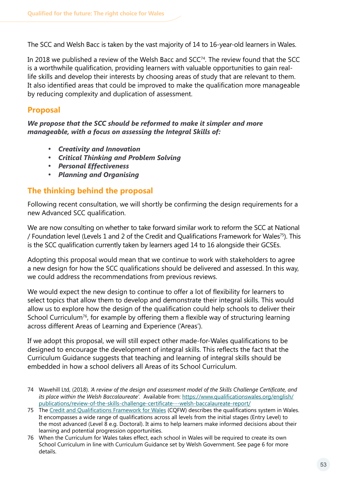The SCC and Welsh Bacc is taken by the vast majority of 14 to 16-year-old learners in Wales.

In 2018 we published a review of the Welsh Bacc and SCC<sup>74</sup>. The review found that the SCC is a worthwhile qualification, providing learners with valuable opportunities to gain reallife skills and develop their interests by choosing areas of study that are relevant to them. It also identified areas that could be improved to make the qualification more manageable by reducing complexity and duplication of assessment.

### **Proposal**

*We propose that the SCC should be reformed to make it simpler and more manageable, with a focus on assessing the Integral Skills of:* 

- · *Creativity and Innovation*
- · *Critical Thinking and Problem Solving*
- · *Personal Effectiveness*
- · *Planning and Organising*

### **The thinking behind the proposal**

Following recent consultation, we will shortly be confirming the design requirements for a new Advanced SCC qualification.

We are now consulting on whether to take forward similar work to reform the SCC at National / Foundation level (Levels 1 and 2 of the Credit and Qualifications Framework for Wales75). This is the SCC qualification currently taken by learners aged 14 to 16 alongside their GCSEs.

Adopting this proposal would mean that we continue to work with stakeholders to agree a new design for how the SCC qualifications should be delivered and assessed. In this way, we could address the recommendations from previous reviews.

We would expect the new design to continue to offer a lot of flexibility for learners to select topics that allow them to develop and demonstrate their integral skills. This would allow us to explore how the design of the qualification could help schools to deliver their School Curriculum<sup>76</sup>, for example by offering them a flexible way of structuring learning across different Areas of Learning and Experience ('Areas').

If we adopt this proposal, we will still expect other made-for-Wales qualifications to be designed to encourage the development of integral skills. This reflects the fact that the Curriculum Guidance suggests that teaching and learning of integral skills should be embedded in how a school delivers all Areas of its School Curriculum.

<sup>74</sup> Wavehill Ltd, (2018). *'A review of the design and assessment model of the Skills Challenge Certificate, and its place within the Welsh Baccalaureate'*. Available from: [https://www.qualificationswales.org/english/](https://www.qualificationswales.org/english/publications/review-of-the-skills-challenge-certificate---welsh-baccalaureate-report/) [publications/review-of-the-skills-challenge-certificate---welsh-baccalaureate-report/](https://www.qualificationswales.org/english/publications/review-of-the-skills-challenge-certificate---welsh-baccalaureate-report/)

<sup>75</sup> The [Credit and Qualifications Framework for Wales](https://gov.wales/credit-and-qualifications-framework-cqfw-overview) (CQFW) describes the qualifications system in Wales. It encompasses a wide range of qualifications across all levels from the initial stages (Entry Level) to the most advanced (Level 8 e.g. Doctoral). It aims to help learners make informed decisions about their learning and potential progression opportunities.

<sup>76</sup> When the Curriculum for Wales takes effect, each school in Wales will be required to create its own School Curriculum in line with Curriculum Guidance set by Welsh Government. See page 6 for more details.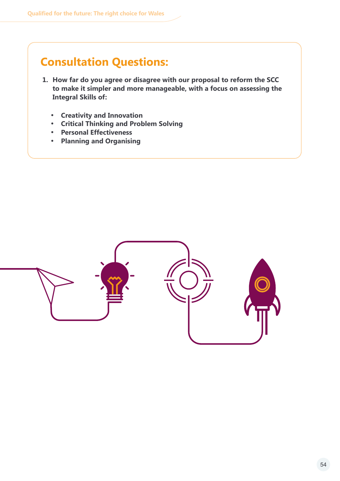### **Consultation Questions:**

- **1. How far do you agree or disagree with our proposal to reform the SCC to make it simpler and more manageable, with a focus on assessing the Integral Skills of:** 
	- · **Creativity and Innovation**
	- · **Critical Thinking and Problem Solving**
	- · **Personal Effectiveness**
	- · **Planning and Organising**

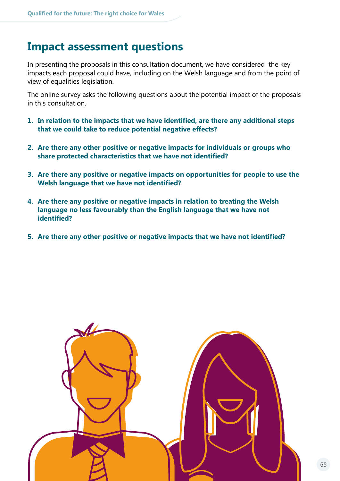### <span id="page-54-0"></span>**Impact assessment questions**

In presenting the proposals in this consultation document, we have considered the key impacts each proposal could have, including on the Welsh language and from the point of view of equalities legislation.

The online survey asks the following questions about the potential impact of the proposals in this consultation.

- **1. In relation to the impacts that we have identified, are there any additional steps that we could take to reduce potential negative effects?**
- **2. Are there any other positive or negative impacts for individuals or groups who share protected characteristics that we have not identified?**
- **3. Are there any positive or negative impacts on opportunities for people to use the Welsh language that we have not identified?**
- **4. Are there any positive or negative impacts in relation to treating the Welsh language no less favourably than the English language that we have not identified?**
- **5. Are there any other positive or negative impacts that we have not identified?**